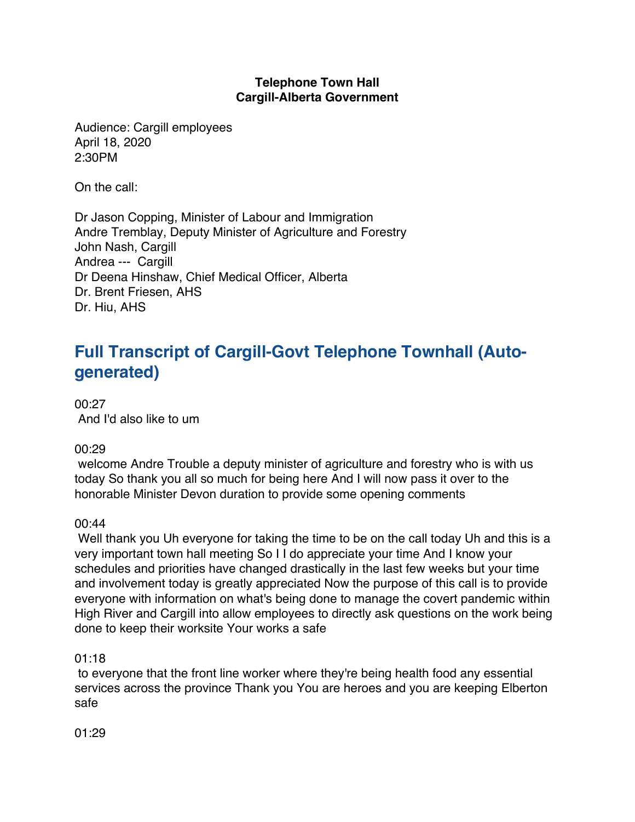# **Telephone Town Hall Cargill-Alberta Government**

Audience: Cargill employees April 18, 2020 2:30PM

On the call:

Dr Jason Copping, Minister of Labour and Immigration Andre Tremblay, Deputy Minister of Agriculture and Forestry John Nash, Cargill Andrea --- Cargill Dr Deena Hinshaw, Chief Medical Officer, Alberta Dr. Brent Friesen, AHS Dr. Hiu, AHS

# **Full Transcript of Cargill-Govt Telephone Townhall (Autogenerated)**

00:27 And I'd also like to um

# 00:29

welcome Andre Trouble a deputy minister of agriculture and forestry who is with us today So thank you all so much for being here And I will now pass it over to the honorable Minister Devon duration to provide some opening comments

#### $00.44$

Well thank you Uh everyone for taking the time to be on the call today Uh and this is a very important town hall meeting So I I do appreciate your time And I know your schedules and priorities have changed drastically in the last few weeks but your time and involvement today is greatly appreciated Now the purpose of this call is to provide everyone with information on what's being done to manage the covert pandemic within High River and Cargill into allow employees to directly ask questions on the work being done to keep their worksite Your works a safe

#### 01:18

to everyone that the front line worker where they're being health food any essential services across the province Thank you You are heroes and you are keeping Elberton safe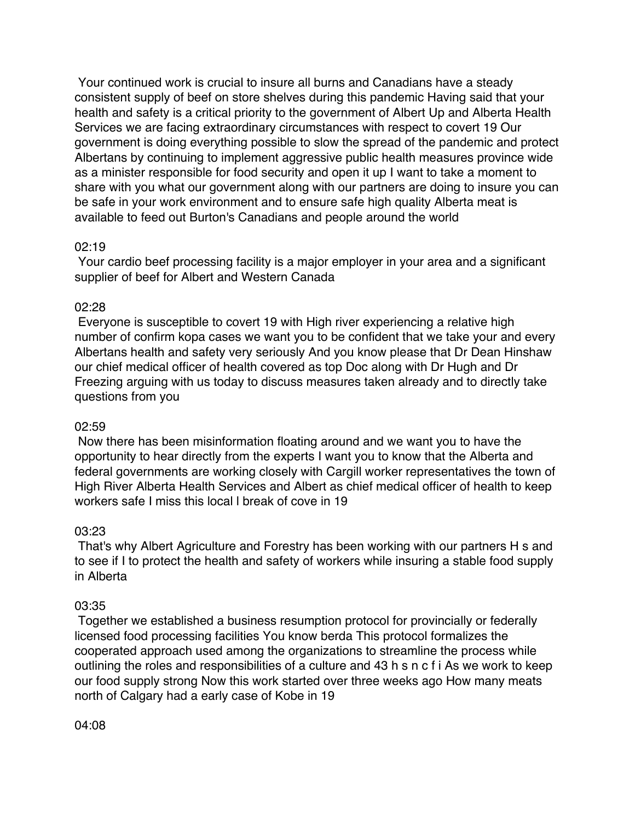Your continued work is crucial to insure all burns and Canadians have a steady consistent supply of beef on store shelves during this pandemic Having said that your health and safety is a critical priority to the government of Albert Up and Alberta Health Services we are facing extraordinary circumstances with respect to covert 19 Our government is doing everything possible to slow the spread of the pandemic and protect Albertans by continuing to implement aggressive public health measures province wide as a minister responsible for food security and open it up I want to take a moment to share with you what our government along with our partners are doing to insure you can be safe in your work environment and to ensure safe high quality Alberta meat is available to feed out Burton's Canadians and people around the world

# 02:19

Your cardio beef processing facility is a major employer in your area and a significant supplier of beef for Albert and Western Canada

# 02:28

Everyone is susceptible to covert 19 with High river experiencing a relative high number of confirm kopa cases we want you to be confident that we take your and every Albertans health and safety very seriously And you know please that Dr Dean Hinshaw our chief medical officer of health covered as top Doc along with Dr Hugh and Dr Freezing arguing with us today to discuss measures taken already and to directly take questions from you

#### 02:59

Now there has been misinformation floating around and we want you to have the opportunity to hear directly from the experts I want you to know that the Alberta and federal governments are working closely with Cargill worker representatives the town of High River Alberta Health Services and Albert as chief medical officer of health to keep workers safe I miss this local l break of cove in 19

#### 03:23

That's why Albert Agriculture and Forestry has been working with our partners H s and to see if I to protect the health and safety of workers while insuring a stable food supply in Alberta

#### 03:35

Together we established a business resumption protocol for provincially or federally licensed food processing facilities You know berda This protocol formalizes the cooperated approach used among the organizations to streamline the process while outlining the roles and responsibilities of a culture and 43 h s n c f i As we work to keep our food supply strong Now this work started over three weeks ago How many meats north of Calgary had a early case of Kobe in 19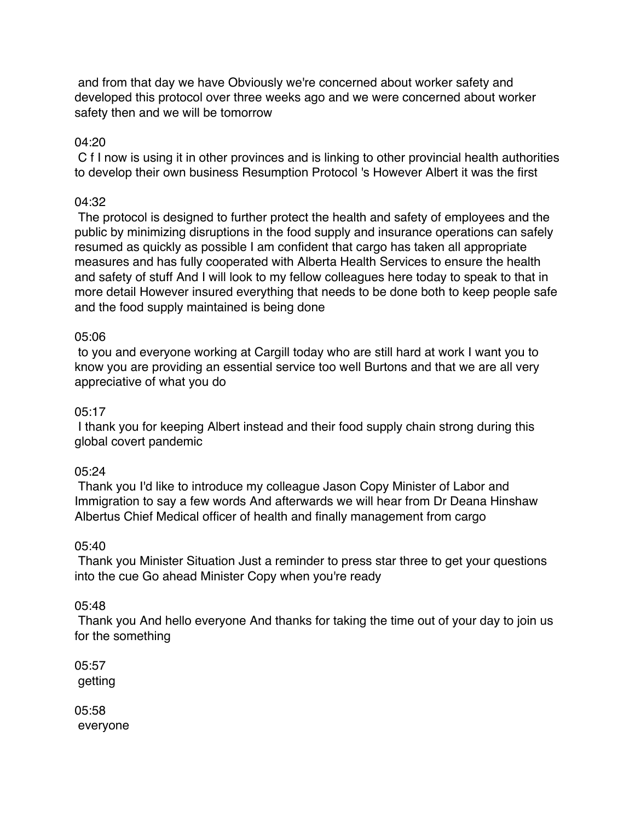and from that day we have Obviously we're concerned about worker safety and developed this protocol over three weeks ago and we were concerned about worker safety then and we will be tomorrow

# 04:20

C f I now is using it in other provinces and is linking to other provincial health authorities to develop their own business Resumption Protocol 's However Albert it was the first

# 04:32

The protocol is designed to further protect the health and safety of employees and the public by minimizing disruptions in the food supply and insurance operations can safely resumed as quickly as possible I am confident that cargo has taken all appropriate measures and has fully cooperated with Alberta Health Services to ensure the health and safety of stuff And I will look to my fellow colleagues here today to speak to that in more detail However insured everything that needs to be done both to keep people safe and the food supply maintained is being done

# 05:06

to you and everyone working at Cargill today who are still hard at work I want you to know you are providing an essential service too well Burtons and that we are all very appreciative of what you do

### $05:17$

I thank you for keeping Albert instead and their food supply chain strong during this global covert pandemic

#### 05:24

Thank you I'd like to introduce my colleague Jason Copy Minister of Labor and Immigration to say a few words And afterwards we will hear from Dr Deana Hinshaw Albertus Chief Medical officer of health and finally management from cargo

#### 05:40

Thank you Minister Situation Just a reminder to press star three to get your questions into the cue Go ahead Minister Copy when you're ready

#### 05:48

Thank you And hello everyone And thanks for taking the time out of your day to join us for the something

05:57 getting

05:58 everyone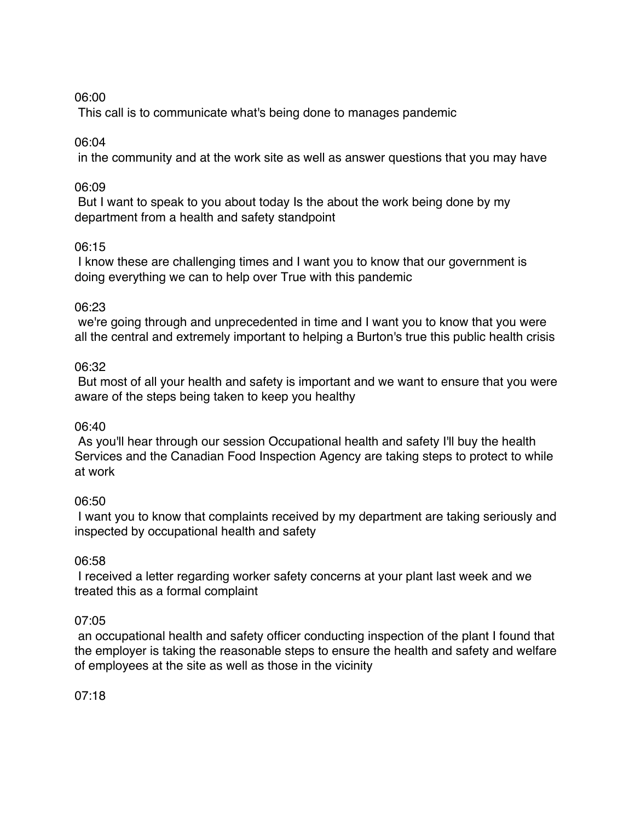# 06:00

This call is to communicate what's being done to manages pandemic

# 06:04

in the community and at the work site as well as answer questions that you may have

# 06:09

But I want to speak to you about today Is the about the work being done by my department from a health and safety standpoint

# 06:15

I know these are challenging times and I want you to know that our government is doing everything we can to help over True with this pandemic

# 06:23

we're going through and unprecedented in time and I want you to know that you were all the central and extremely important to helping a Burton's true this public health crisis

# 06:32

But most of all your health and safety is important and we want to ensure that you were aware of the steps being taken to keep you healthy

# 06:40

As you'll hear through our session Occupational health and safety I'll buy the health Services and the Canadian Food Inspection Agency are taking steps to protect to while at work

# 06:50

I want you to know that complaints received by my department are taking seriously and inspected by occupational health and safety

# 06:58

I received a letter regarding worker safety concerns at your plant last week and we treated this as a formal complaint

# 07:05

an occupational health and safety officer conducting inspection of the plant I found that the employer is taking the reasonable steps to ensure the health and safety and welfare of employees at the site as well as those in the vicinity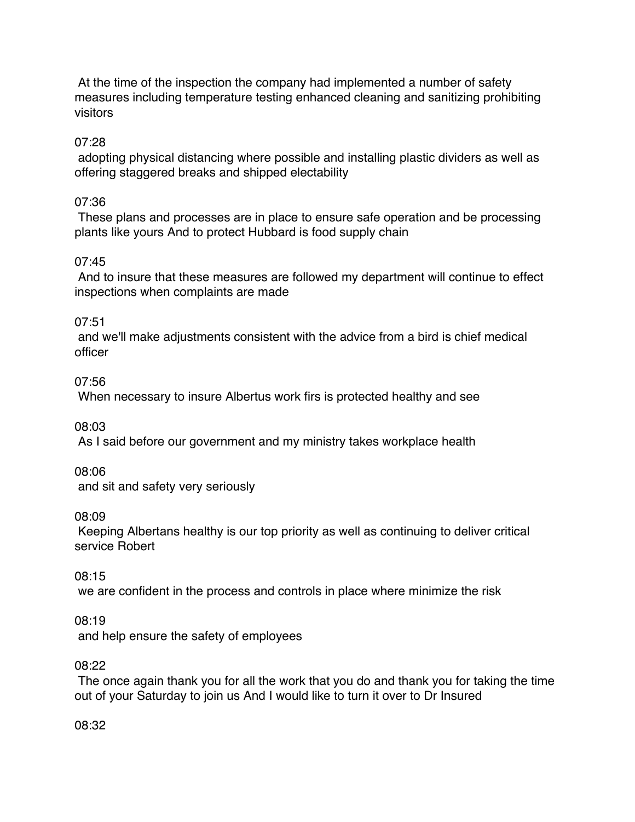At the time of the inspection the company had implemented a number of safety measures including temperature testing enhanced cleaning and sanitizing prohibiting visitors

# 07:28

adopting physical distancing where possible and installing plastic dividers as well as offering staggered breaks and shipped electability

# 07:36

These plans and processes are in place to ensure safe operation and be processing plants like yours And to protect Hubbard is food supply chain

# 07:45

And to insure that these measures are followed my department will continue to effect inspections when complaints are made

# 07:51

and we'll make adjustments consistent with the advice from a bird is chief medical officer

# 07:56

When necessary to insure Albertus work firs is protected healthy and see

08:03

As I said before our government and my ministry takes workplace health

08:06

and sit and safety very seriously

08:09

Keeping Albertans healthy is our top priority as well as continuing to deliver critical service Robert

# 08:15

we are confident in the process and controls in place where minimize the risk

# 08:19

and help ensure the safety of employees

# 08:22

The once again thank you for all the work that you do and thank you for taking the time out of your Saturday to join us And I would like to turn it over to Dr Insured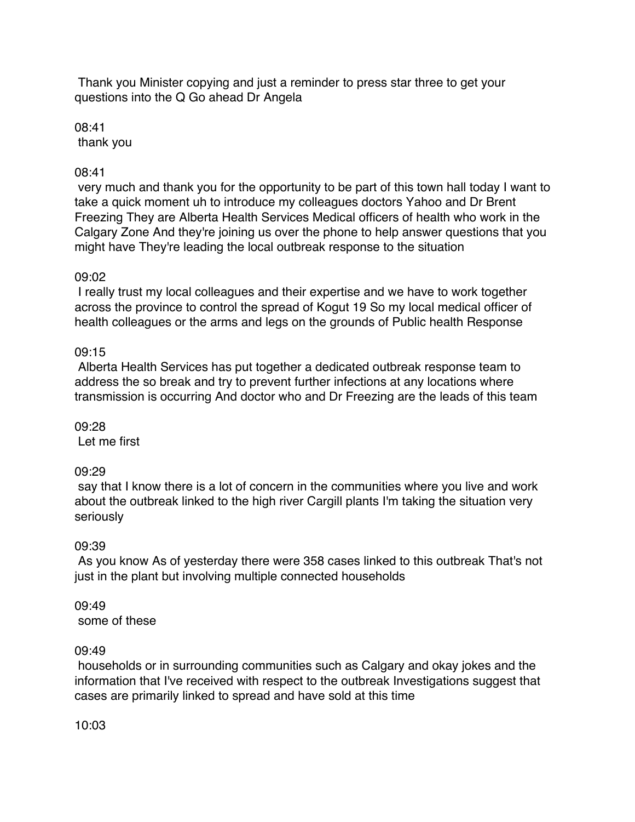Thank you Minister copying and just a reminder to press star three to get your questions into the Q Go ahead Dr Angela

08:41 thank you

# 08:41

very much and thank you for the opportunity to be part of this town hall today I want to take a quick moment uh to introduce my colleagues doctors Yahoo and Dr Brent Freezing They are Alberta Health Services Medical officers of health who work in the Calgary Zone And they're joining us over the phone to help answer questions that you might have They're leading the local outbreak response to the situation

# 09:02

I really trust my local colleagues and their expertise and we have to work together across the province to control the spread of Kogut 19 So my local medical officer of health colleagues or the arms and legs on the grounds of Public health Response

# 09:15

Alberta Health Services has put together a dedicated outbreak response team to address the so break and try to prevent further infections at any locations where transmission is occurring And doctor who and Dr Freezing are the leads of this team

09:28

Let me first

# 09:29

say that I know there is a lot of concern in the communities where you live and work about the outbreak linked to the high river Cargill plants I'm taking the situation very seriously

# 09:39

As you know As of yesterday there were 358 cases linked to this outbreak That's not just in the plant but involving multiple connected households

#### 09:49 some of these

# 09:49

households or in surrounding communities such as Calgary and okay jokes and the information that I've received with respect to the outbreak Investigations suggest that cases are primarily linked to spread and have sold at this time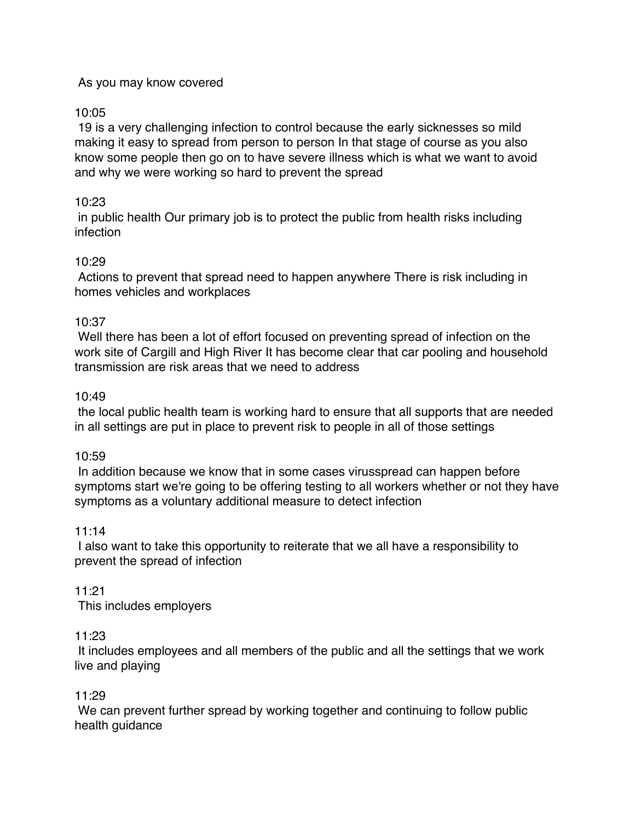# As you may know covered

# 10:05

19 is a very challenging infection to control because the early sicknesses so mild making it easy to spread from person to person In that stage of course as you also know some people then go on to have severe illness which is what we want to avoid and why we were working so hard to prevent the spread

# 10:23

in public health Our primary job is to protect the public from health risks including infection

# 10:29

Actions to prevent that spread need to happen anywhere There is risk including in homes vehicles and workplaces

# 10:37

Well there has been a lot of effort focused on preventing spread of infection on the work site of Cargill and High River It has become clear that car pooling and household transmission are risk areas that we need to address

#### 10:49

the local public health team is working hard to ensure that all supports that are needed in all settings are put in place to prevent risk to people in all of those settings

#### 10:59

In addition because we know that in some cases virusspread can happen before symptoms start we're going to be offering testing to all workers whether or not they have symptoms as a voluntary additional measure to detect infection

#### 11:14

I also want to take this opportunity to reiterate that we all have a responsibility to prevent the spread of infection

11:21 This includes employers

#### 11:23

It includes employees and all members of the public and all the settings that we work live and playing

#### 11:29

We can prevent further spread by working together and continuing to follow public health guidance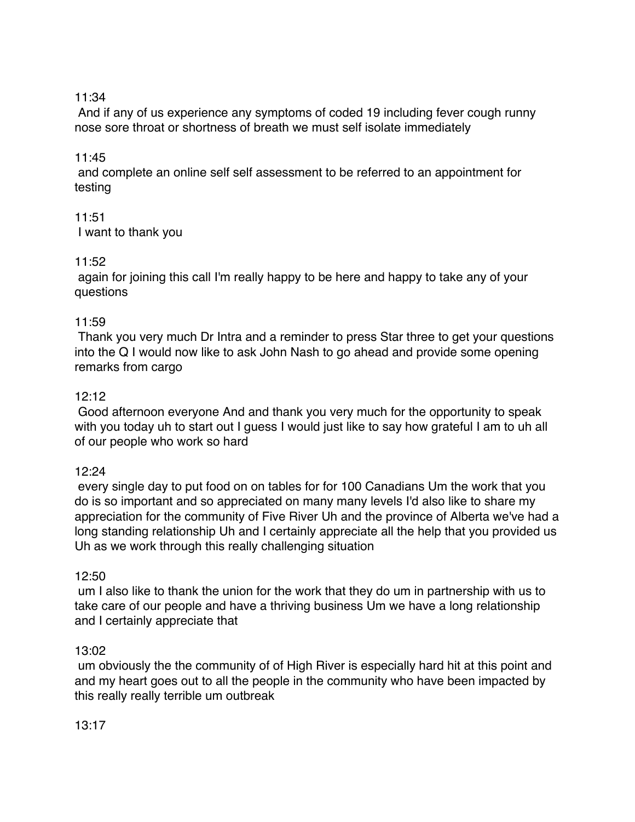# 11:34

And if any of us experience any symptoms of coded 19 including fever cough runny nose sore throat or shortness of breath we must self isolate immediately

# 11:45

and complete an online self self assessment to be referred to an appointment for testing

# 11:51

I want to thank you

# 11:52

again for joining this call I'm really happy to be here and happy to take any of your questions

# 11:59

Thank you very much Dr Intra and a reminder to press Star three to get your questions into the Q I would now like to ask John Nash to go ahead and provide some opening remarks from cargo

# 12:12

Good afternoon everyone And and thank you very much for the opportunity to speak with you today uh to start out I guess I would just like to say how grateful I am to uh all of our people who work so hard

#### 12:24

every single day to put food on on tables for for 100 Canadians Um the work that you do is so important and so appreciated on many many levels I'd also like to share my appreciation for the community of Five River Uh and the province of Alberta we've had a long standing relationship Uh and I certainly appreciate all the help that you provided us Uh as we work through this really challenging situation

#### 12:50

um I also like to thank the union for the work that they do um in partnership with us to take care of our people and have a thriving business Um we have a long relationship and I certainly appreciate that

#### 13:02

um obviously the the community of of High River is especially hard hit at this point and and my heart goes out to all the people in the community who have been impacted by this really really terrible um outbreak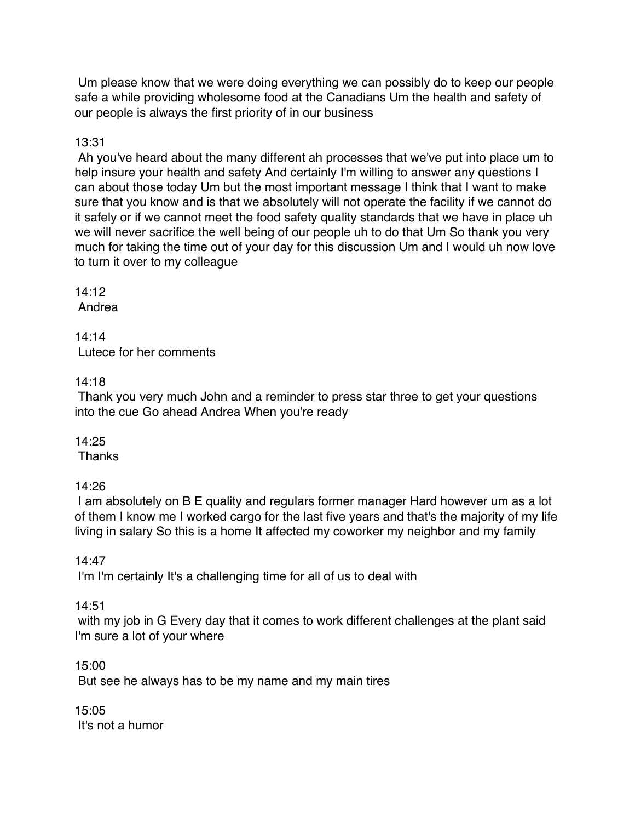Um please know that we were doing everything we can possibly do to keep our people safe a while providing wholesome food at the Canadians Um the health and safety of our people is always the first priority of in our business

# 13:31

Ah you've heard about the many different ah processes that we've put into place um to help insure your health and safety And certainly I'm willing to answer any questions I can about those today Um but the most important message I think that I want to make sure that you know and is that we absolutely will not operate the facility if we cannot do it safely or if we cannot meet the food safety quality standards that we have in place uh we will never sacrifice the well being of our people uh to do that Um So thank you very much for taking the time out of your day for this discussion Um and I would uh now love to turn it over to my colleague

# 14:12

Andrea

14:14 Lutece for her comments

# 14:18

Thank you very much John and a reminder to press star three to get your questions into the cue Go ahead Andrea When you're ready

# 14:25

**Thanks** 

# 14:26

I am absolutely on B E quality and regulars former manager Hard however um as a lot of them I know me I worked cargo for the last five years and that's the majority of my life living in salary So this is a home It affected my coworker my neighbor and my family

# 14:47

I'm I'm certainly It's a challenging time for all of us to deal with

# 14:51

with my job in G Every day that it comes to work different challenges at the plant said I'm sure a lot of your where

# 15:00

But see he always has to be my name and my main tires

15:05 It's not a humor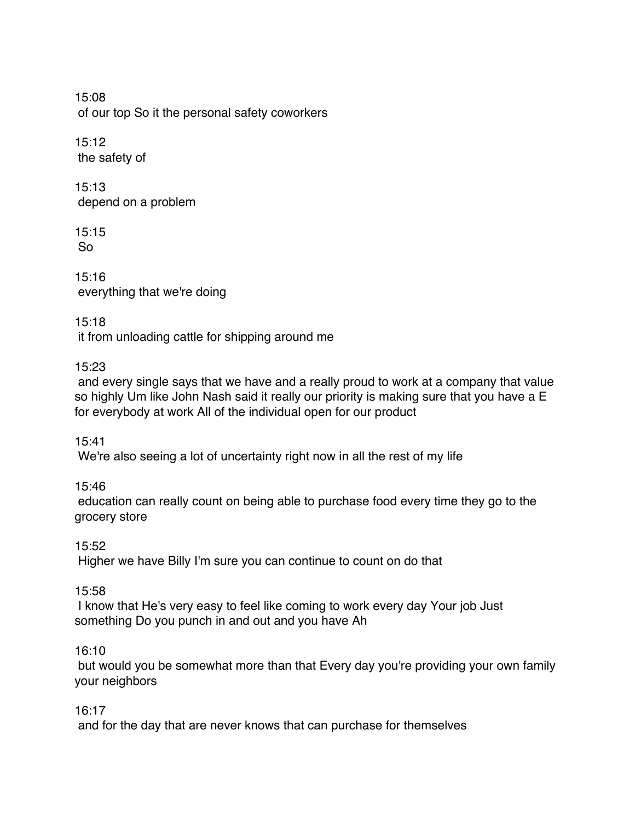15:08 of our top So it the personal safety coworkers

15:12 the safety of

15:13 depend on a problem

15:15 So

15:16 everything that we're doing

15:18

it from unloading cattle for shipping around me

# 15:23

and every single says that we have and a really proud to work at a company that value so highly Um like John Nash said it really our priority is making sure that you have a E for everybody at work All of the individual open for our product

15:41

We're also seeing a lot of uncertainty right now in all the rest of my life

# 15:46

education can really count on being able to purchase food every time they go to the grocery store

15:52

Higher we have Billy I'm sure you can continue to count on do that

15:58

I know that He's very easy to feel like coming to work every day Your job Just something Do you punch in and out and you have Ah

# 16:10

but would you be somewhat more than that Every day you're providing your own family your neighbors

16:17

and for the day that are never knows that can purchase for themselves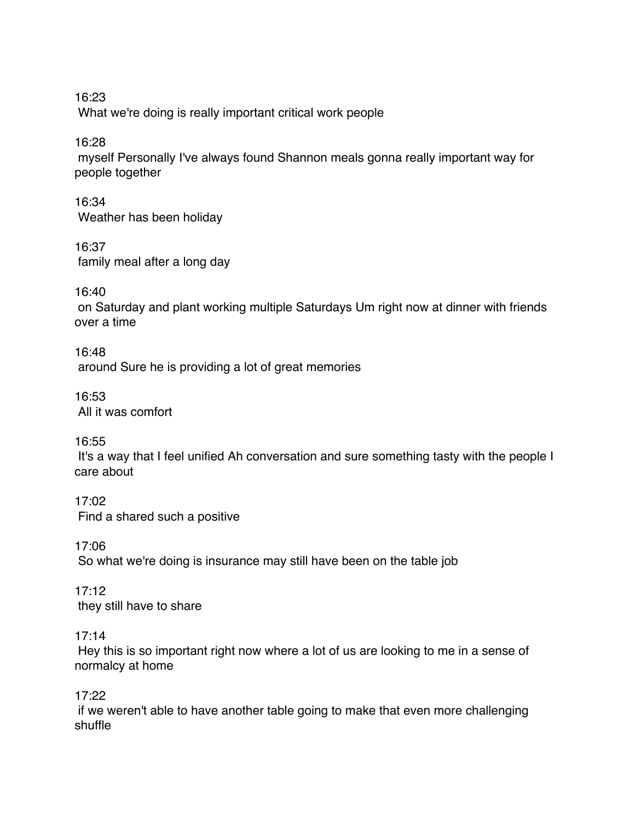16:23 What we're doing is really important critical work people

16:28

myself Personally I've always found Shannon meals gonna really important way for people together

16:34 Weather has been holiday

16:37 family meal after a long day

16:40

on Saturday and plant working multiple Saturdays Um right now at dinner with friends over a time

16:48 around Sure he is providing a lot of great memories

16:53 All it was comfort

16:55

It's a way that I feel unified Ah conversation and sure something tasty with the people I care about

17:02 Find a shared such a positive

17:06 So what we're doing is insurance may still have been on the table job

17:12 they still have to share

17:14

Hey this is so important right now where a lot of us are looking to me in a sense of normalcy at home

17:22

if we weren't able to have another table going to make that even more challenging shuffle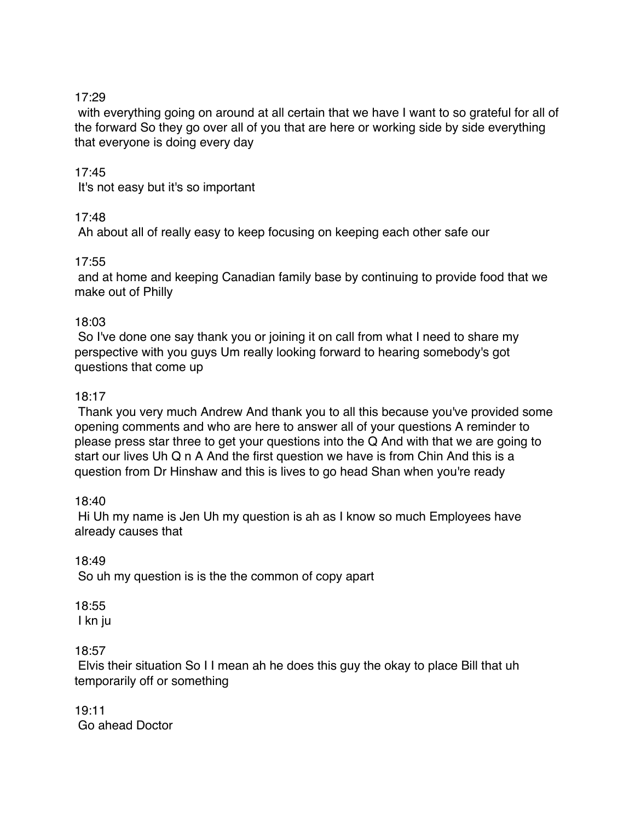# 17:29

with everything going on around at all certain that we have I want to so grateful for all of the forward So they go over all of you that are here or working side by side everything that everyone is doing every day

# 17:45

It's not easy but it's so important

# 17:48

Ah about all of really easy to keep focusing on keeping each other safe our

#### 17:55

and at home and keeping Canadian family base by continuing to provide food that we make out of Philly

# 18:03

So I've done one say thank you or joining it on call from what I need to share my perspective with you guys Um really looking forward to hearing somebody's got questions that come up

# 18:17

Thank you very much Andrew And thank you to all this because you've provided some opening comments and who are here to answer all of your questions A reminder to please press star three to get your questions into the Q And with that we are going to start our lives Uh Q n A And the first question we have is from Chin And this is a question from Dr Hinshaw and this is lives to go head Shan when you're ready

#### 18:40

Hi Uh my name is Jen Uh my question is ah as I know so much Employees have already causes that

#### 18:49

So uh my question is is the the common of copy apart

# 18:55

I kn ju

# 18:57

Elvis their situation So I I mean ah he does this guy the okay to place Bill that uh temporarily off or something

19:11 Go ahead Doctor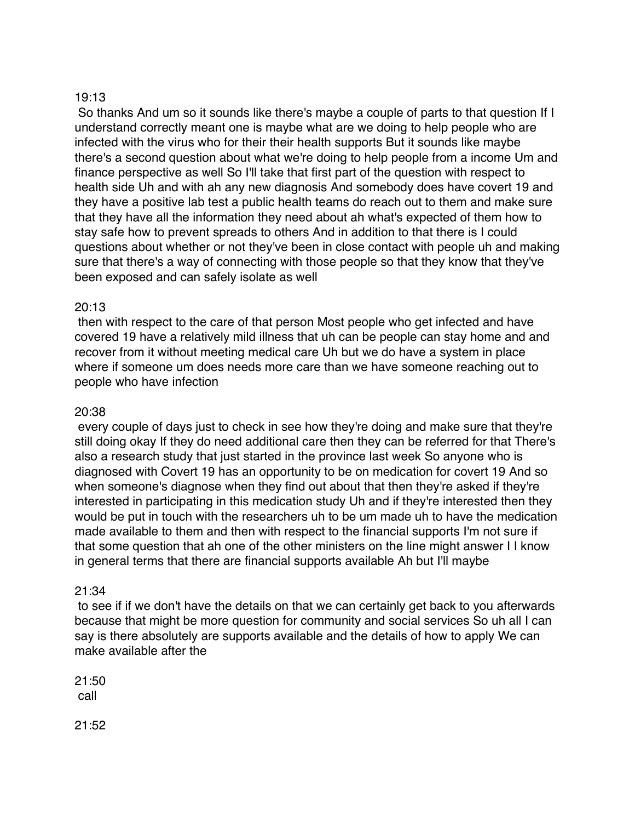### 19:13

So thanks And um so it sounds like there's maybe a couple of parts to that question If I understand correctly meant one is maybe what are we doing to help people who are infected with the virus who for their their health supports But it sounds like maybe there's a second question about what we're doing to help people from a income Um and finance perspective as well So I'll take that first part of the question with respect to health side Uh and with ah any new diagnosis And somebody does have covert 19 and they have a positive lab test a public health teams do reach out to them and make sure that they have all the information they need about ah what's expected of them how to stay safe how to prevent spreads to others And in addition to that there is I could questions about whether or not they've been in close contact with people uh and making sure that there's a way of connecting with those people so that they know that they've been exposed and can safely isolate as well

# 20:13

then with respect to the care of that person Most people who get infected and have covered 19 have a relatively mild illness that uh can be people can stay home and and recover from it without meeting medical care Uh but we do have a system in place where if someone um does needs more care than we have someone reaching out to people who have infection

### 20:38

every couple of days just to check in see how they're doing and make sure that they're still doing okay If they do need additional care then they can be referred for that There's also a research study that just started in the province last week So anyone who is diagnosed with Covert 19 has an opportunity to be on medication for covert 19 And so when someone's diagnose when they find out about that then they're asked if they're interested in participating in this medication study Uh and if they're interested then they would be put in touch with the researchers uh to be um made uh to have the medication made available to them and then with respect to the financial supports I'm not sure if that some question that ah one of the other ministers on the line might answer I I know in general terms that there are financial supports available Ah but I'll maybe

#### 21:34

to see if if we don't have the details on that we can certainly get back to you afterwards because that might be more question for community and social services So uh all I can say is there absolutely are supports available and the details of how to apply We can make available after the

21:50 call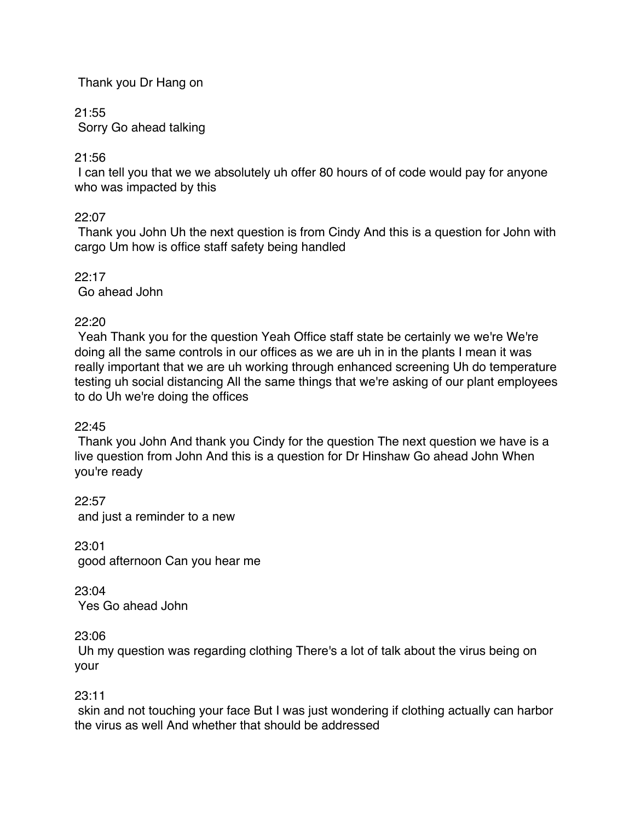# Thank you Dr Hang on

21:55

Sorry Go ahead talking

21:56

I can tell you that we we absolutely uh offer 80 hours of of code would pay for anyone who was impacted by this

22:07

Thank you John Uh the next question is from Cindy And this is a question for John with cargo Um how is office staff safety being handled

 $22.17$ Go ahead John

22:20

Yeah Thank you for the question Yeah Office staff state be certainly we we're We're doing all the same controls in our offices as we are uh in in the plants I mean it was really important that we are uh working through enhanced screening Uh do temperature testing uh social distancing All the same things that we're asking of our plant employees to do Uh we're doing the offices

22:45

Thank you John And thank you Cindy for the question The next question we have is a live question from John And this is a question for Dr Hinshaw Go ahead John When you're ready

22:57 and just a reminder to a new

23:01 good afternoon Can you hear me

23:04 Yes Go ahead John

23:06

Uh my question was regarding clothing There's a lot of talk about the virus being on your

23:11

skin and not touching your face But I was just wondering if clothing actually can harbor the virus as well And whether that should be addressed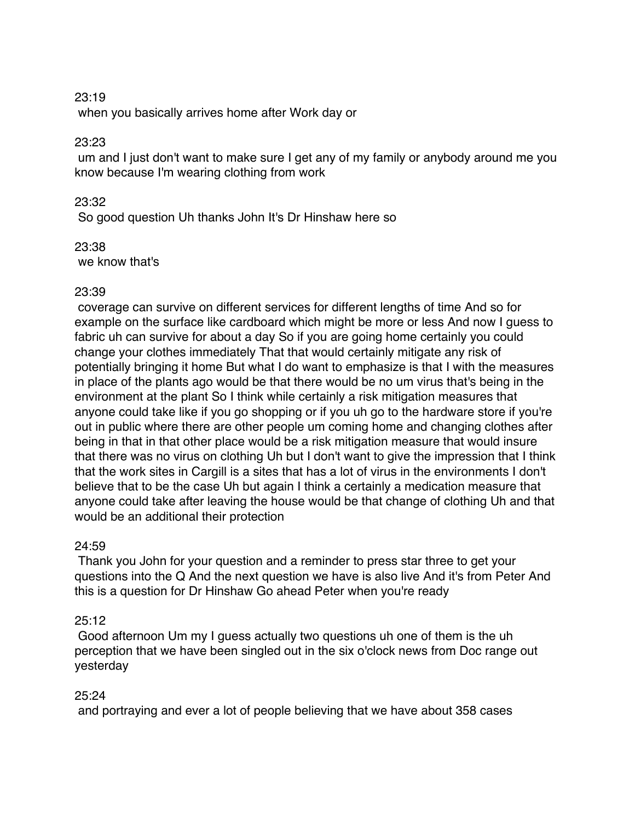#### 23:19

when you basically arrives home after Work day or

# 23:23

um and I just don't want to make sure I get any of my family or anybody around me you know because I'm wearing clothing from work

# 23:32

So good question Uh thanks John It's Dr Hinshaw here so

23:38 we know that's

# 23:39

coverage can survive on different services for different lengths of time And so for example on the surface like cardboard which might be more or less And now I guess to fabric uh can survive for about a day So if you are going home certainly you could change your clothes immediately That that would certainly mitigate any risk of potentially bringing it home But what I do want to emphasize is that I with the measures in place of the plants ago would be that there would be no um virus that's being in the environment at the plant So I think while certainly a risk mitigation measures that anyone could take like if you go shopping or if you uh go to the hardware store if you're out in public where there are other people um coming home and changing clothes after being in that in that other place would be a risk mitigation measure that would insure that there was no virus on clothing Uh but I don't want to give the impression that I think that the work sites in Cargill is a sites that has a lot of virus in the environments I don't believe that to be the case Uh but again I think a certainly a medication measure that anyone could take after leaving the house would be that change of clothing Uh and that would be an additional their protection

# 24:59

Thank you John for your question and a reminder to press star three to get your questions into the Q And the next question we have is also live And it's from Peter And this is a question for Dr Hinshaw Go ahead Peter when you're ready

# 25:12

Good afternoon Um my I guess actually two questions uh one of them is the uh perception that we have been singled out in the six o'clock news from Doc range out yesterday

#### 25:24

and portraying and ever a lot of people believing that we have about 358 cases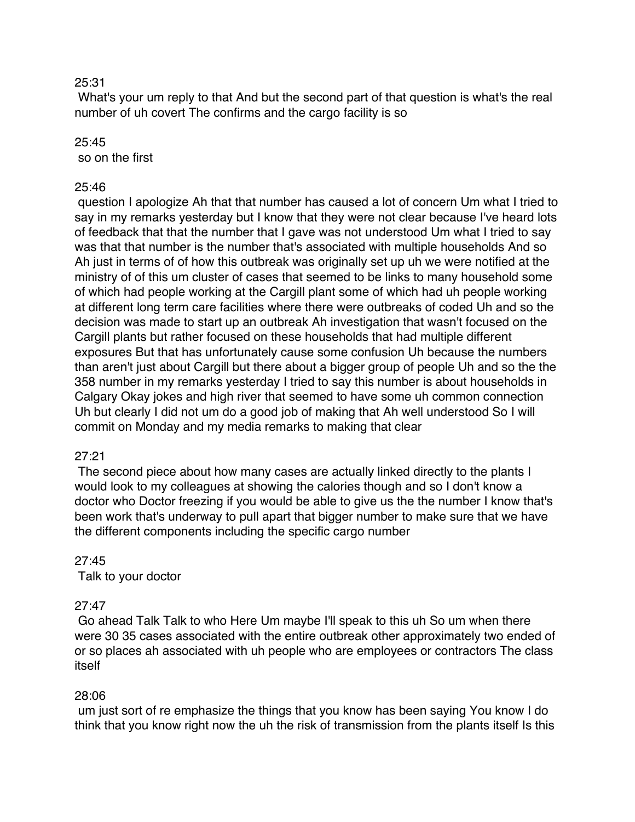#### 25:31

What's your um reply to that And but the second part of that question is what's the real number of uh covert The confirms and the cargo facility is so

#### $25:45$

so on the first

#### 25:46

question I apologize Ah that that number has caused a lot of concern Um what I tried to say in my remarks yesterday but I know that they were not clear because I've heard lots of feedback that that the number that I gave was not understood Um what I tried to say was that that number is the number that's associated with multiple households And so Ah just in terms of of how this outbreak was originally set up uh we were notified at the ministry of of this um cluster of cases that seemed to be links to many household some of which had people working at the Cargill plant some of which had uh people working at different long term care facilities where there were outbreaks of coded Uh and so the decision was made to start up an outbreak Ah investigation that wasn't focused on the Cargill plants but rather focused on these households that had multiple different exposures But that has unfortunately cause some confusion Uh because the numbers than aren't just about Cargill but there about a bigger group of people Uh and so the the 358 number in my remarks yesterday I tried to say this number is about households in Calgary Okay jokes and high river that seemed to have some uh common connection Uh but clearly I did not um do a good job of making that Ah well understood So I will commit on Monday and my media remarks to making that clear

#### 27:21

The second piece about how many cases are actually linked directly to the plants I would look to my colleagues at showing the calories though and so I don't know a doctor who Doctor freezing if you would be able to give us the the number I know that's been work that's underway to pull apart that bigger number to make sure that we have the different components including the specific cargo number

#### 27:45

Talk to your doctor

#### 27:47

Go ahead Talk Talk to who Here Um maybe I'll speak to this uh So um when there were 30 35 cases associated with the entire outbreak other approximately two ended of or so places ah associated with uh people who are employees or contractors The class itself

#### 28:06

um just sort of re emphasize the things that you know has been saying You know I do think that you know right now the uh the risk of transmission from the plants itself Is this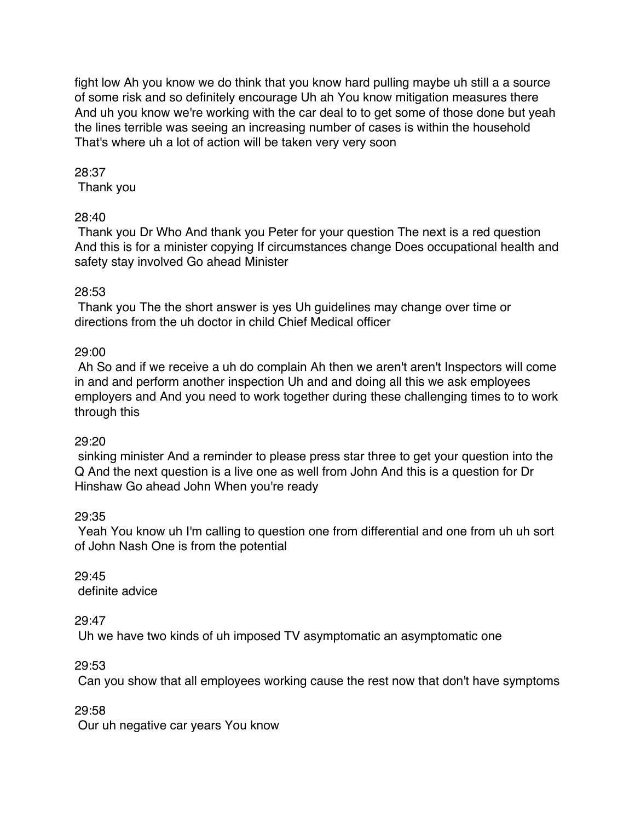fight low Ah you know we do think that you know hard pulling maybe uh still a a source of some risk and so definitely encourage Uh ah You know mitigation measures there And uh you know we're working with the car deal to to get some of those done but yeah the lines terrible was seeing an increasing number of cases is within the household That's where uh a lot of action will be taken very very soon

# 28:37

Thank you

# 28:40

Thank you Dr Who And thank you Peter for your question The next is a red question And this is for a minister copying If circumstances change Does occupational health and safety stay involved Go ahead Minister

# 28:53

Thank you The the short answer is yes Uh guidelines may change over time or directions from the uh doctor in child Chief Medical officer

# 29:00

Ah So and if we receive a uh do complain Ah then we aren't aren't Inspectors will come in and and perform another inspection Uh and and doing all this we ask employees employers and And you need to work together during these challenging times to to work through this

#### 29:20

sinking minister And a reminder to please press star three to get your question into the Q And the next question is a live one as well from John And this is a question for Dr Hinshaw Go ahead John When you're ready

# 29:35

Yeah You know uh I'm calling to question one from differential and one from uh uh sort of John Nash One is from the potential

29:45 definite advice

29:47

Uh we have two kinds of uh imposed TV asymptomatic an asymptomatic one

29:53

Can you show that all employees working cause the rest now that don't have symptoms

29:58

Our uh negative car years You know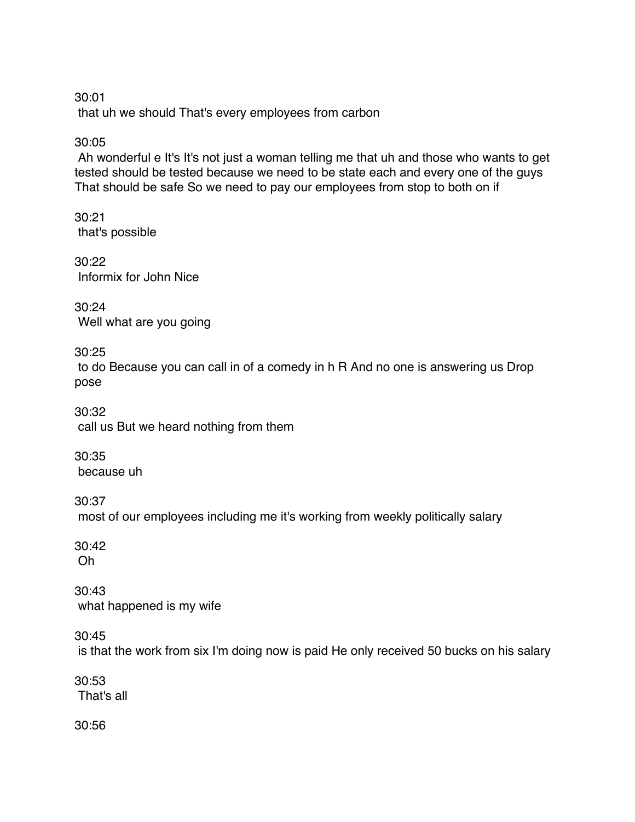30:01 that uh we should That's every employees from carbon

30:05

Ah wonderful e It's It's not just a woman telling me that uh and those who wants to get tested should be tested because we need to be state each and every one of the guys That should be safe So we need to pay our employees from stop to both on if

30:21 that's possible

30:22 Informix for John Nice

30:24 Well what are you going

30:25

to do Because you can call in of a comedy in h R And no one is answering us Drop pose

30:32 call us But we heard nothing from them

30:35 because uh

30:37 most of our employees including me it's working from weekly politically salary

30:42 Oh

30:43 what happened is my wife

30:45

is that the work from six I'm doing now is paid He only received 50 bucks on his salary

30:53 That's all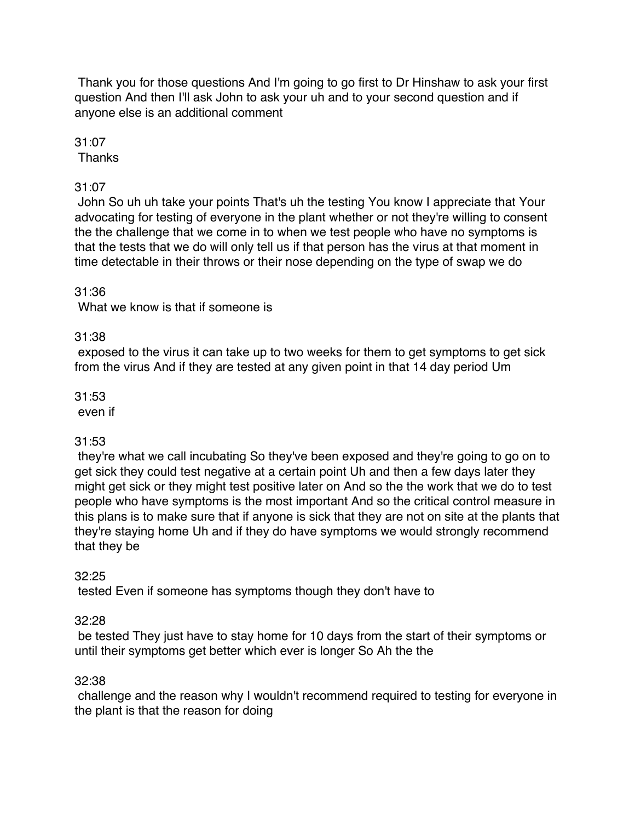Thank you for those questions And I'm going to go first to Dr Hinshaw to ask your first question And then I'll ask John to ask your uh and to your second question and if anyone else is an additional comment

31:07

Thanks

# 31:07

John So uh uh take your points That's uh the testing You know I appreciate that Your advocating for testing of everyone in the plant whether or not they're willing to consent the the challenge that we come in to when we test people who have no symptoms is that the tests that we do will only tell us if that person has the virus at that moment in time detectable in their throws or their nose depending on the type of swap we do

# 31:36

What we know is that if someone is

# 31:38

exposed to the virus it can take up to two weeks for them to get symptoms to get sick from the virus And if they are tested at any given point in that 14 day period Um

# 31:53

even if

# 31:53

they're what we call incubating So they've been exposed and they're going to go on to get sick they could test negative at a certain point Uh and then a few days later they might get sick or they might test positive later on And so the the work that we do to test people who have symptoms is the most important And so the critical control measure in this plans is to make sure that if anyone is sick that they are not on site at the plants that they're staying home Uh and if they do have symptoms we would strongly recommend that they be

# 32:25

tested Even if someone has symptoms though they don't have to

# 32:28

be tested They just have to stay home for 10 days from the start of their symptoms or until their symptoms get better which ever is longer So Ah the the

# 32:38

challenge and the reason why I wouldn't recommend required to testing for everyone in the plant is that the reason for doing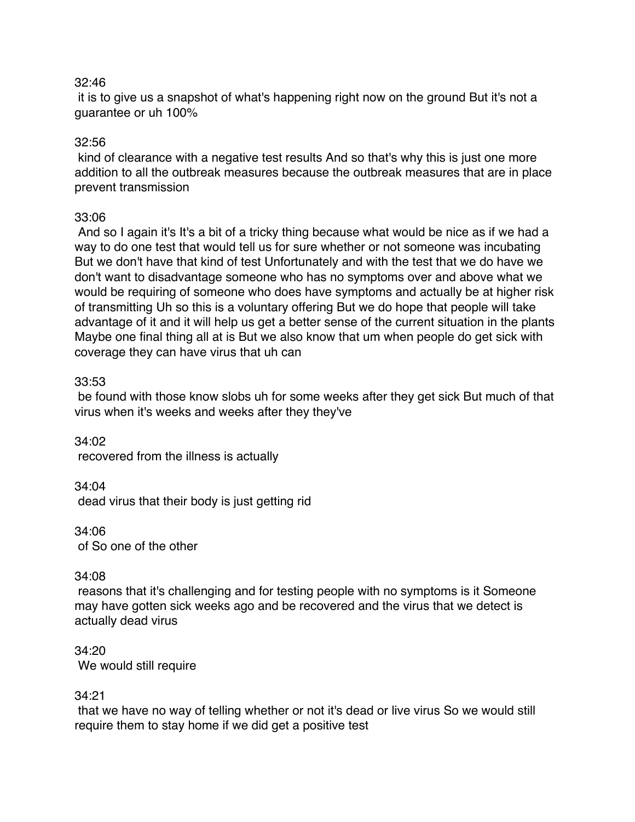#### 32:46

it is to give us a snapshot of what's happening right now on the ground But it's not a guarantee or uh 100%

# 32:56

kind of clearance with a negative test results And so that's why this is just one more addition to all the outbreak measures because the outbreak measures that are in place prevent transmission

# 33:06

And so I again it's It's a bit of a tricky thing because what would be nice as if we had a way to do one test that would tell us for sure whether or not someone was incubating But we don't have that kind of test Unfortunately and with the test that we do have we don't want to disadvantage someone who has no symptoms over and above what we would be requiring of someone who does have symptoms and actually be at higher risk of transmitting Uh so this is a voluntary offering But we do hope that people will take advantage of it and it will help us get a better sense of the current situation in the plants Maybe one final thing all at is But we also know that um when people do get sick with coverage they can have virus that uh can

# 33:53

be found with those know slobs uh for some weeks after they get sick But much of that virus when it's weeks and weeks after they they've

34:02 recovered from the illness is actually

34:04 dead virus that their body is just getting rid

34:06 of So one of the other

#### 34:08

reasons that it's challenging and for testing people with no symptoms is it Someone may have gotten sick weeks ago and be recovered and the virus that we detect is actually dead virus

34:20 We would still require

#### 34:21

that we have no way of telling whether or not it's dead or live virus So we would still require them to stay home if we did get a positive test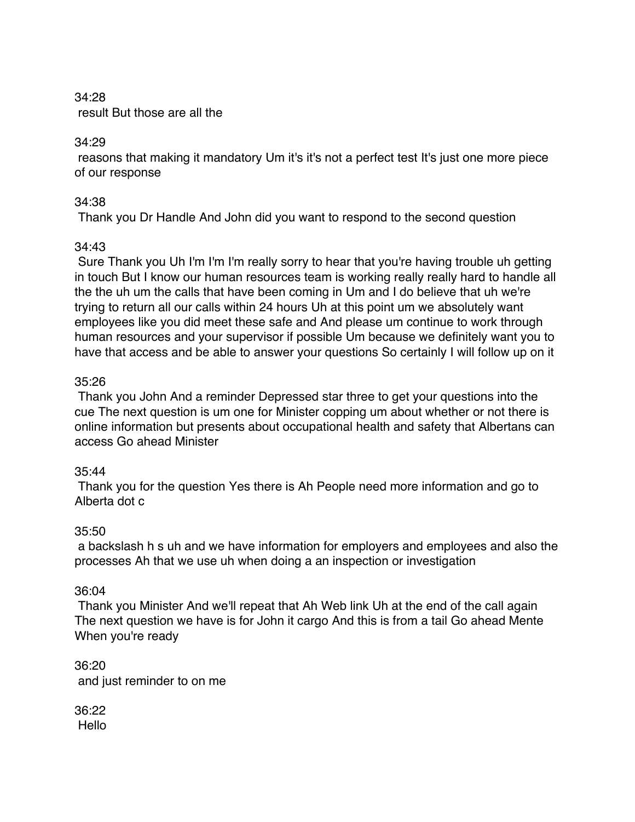# 34:28 result But those are all the

# 34:29

reasons that making it mandatory Um it's it's not a perfect test It's just one more piece of our response

# 34:38

Thank you Dr Handle And John did you want to respond to the second question

# 34:43

Sure Thank you Uh I'm I'm I'm really sorry to hear that you're having trouble uh getting in touch But I know our human resources team is working really really hard to handle all the the uh um the calls that have been coming in Um and I do believe that uh we're trying to return all our calls within 24 hours Uh at this point um we absolutely want employees like you did meet these safe and And please um continue to work through human resources and your supervisor if possible Um because we definitely want you to have that access and be able to answer your questions So certainly I will follow up on it

# 35:26

Thank you John And a reminder Depressed star three to get your questions into the cue The next question is um one for Minister copping um about whether or not there is online information but presents about occupational health and safety that Albertans can access Go ahead Minister

# 35:44

Thank you for the question Yes there is Ah People need more information and go to Alberta dot c

# 35:50

a backslash h s uh and we have information for employers and employees and also the processes Ah that we use uh when doing a an inspection or investigation

# 36:04

Thank you Minister And we'll repeat that Ah Web link Uh at the end of the call again The next question we have is for John it cargo And this is from a tail Go ahead Mente When you're ready

36:20 and just reminder to on me

36:22 Hello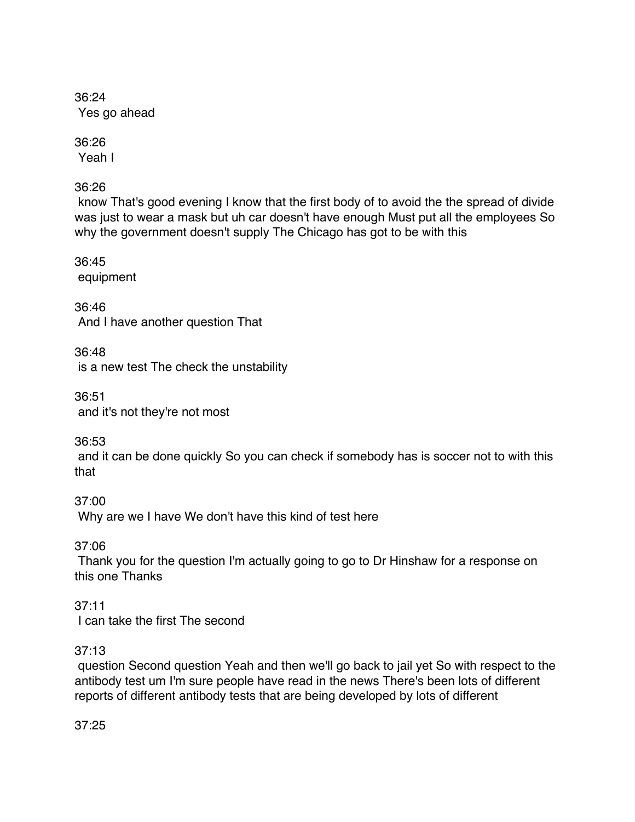36:24 Yes go ahead

36:26 Yeah I

36:26

know That's good evening I know that the first body of to avoid the the spread of divide was just to wear a mask but uh car doesn't have enough Must put all the employees So why the government doesn't supply The Chicago has got to be with this

36:45 equipment

36:46 And I have another question That

36:48 is a new test The check the unstability

36:51 and it's not they're not most

36:53

and it can be done quickly So you can check if somebody has is soccer not to with this that

37:00 Why are we I have We don't have this kind of test here

37:06

Thank you for the question I'm actually going to go to Dr Hinshaw for a response on this one Thanks

37:11 I can take the first The second

# 37:13

question Second question Yeah and then we'll go back to jail yet So with respect to the antibody test um I'm sure people have read in the news There's been lots of different reports of different antibody tests that are being developed by lots of different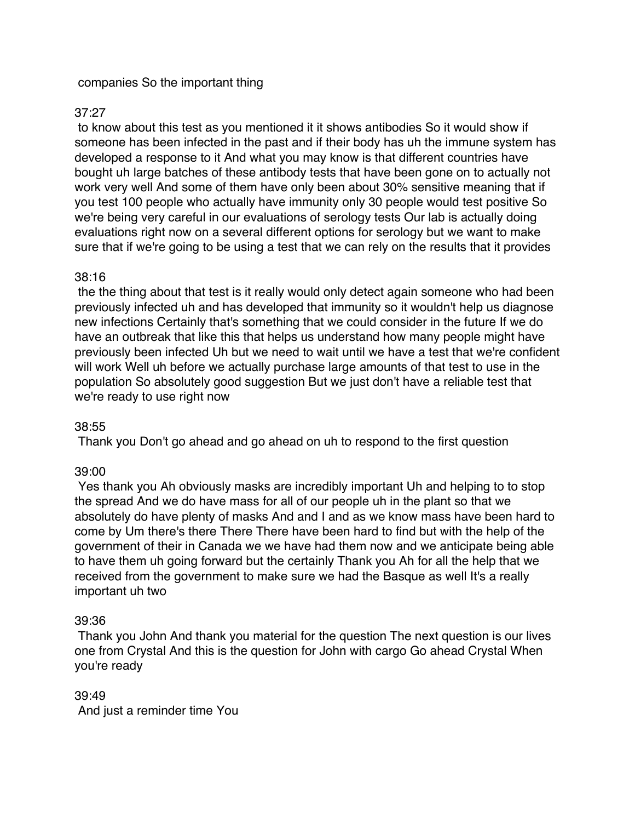### companies So the important thing

# 37:27

to know about this test as you mentioned it it shows antibodies So it would show if someone has been infected in the past and if their body has uh the immune system has developed a response to it And what you may know is that different countries have bought uh large batches of these antibody tests that have been gone on to actually not work very well And some of them have only been about 30% sensitive meaning that if you test 100 people who actually have immunity only 30 people would test positive So we're being very careful in our evaluations of serology tests Our lab is actually doing evaluations right now on a several different options for serology but we want to make sure that if we're going to be using a test that we can rely on the results that it provides

#### 38:16

the the thing about that test is it really would only detect again someone who had been previously infected uh and has developed that immunity so it wouldn't help us diagnose new infections Certainly that's something that we could consider in the future If we do have an outbreak that like this that helps us understand how many people might have previously been infected Uh but we need to wait until we have a test that we're confident will work Well uh before we actually purchase large amounts of that test to use in the population So absolutely good suggestion But we just don't have a reliable test that we're ready to use right now

#### 38:55

Thank you Don't go ahead and go ahead on uh to respond to the first question

# 39:00

Yes thank you Ah obviously masks are incredibly important Uh and helping to to stop the spread And we do have mass for all of our people uh in the plant so that we absolutely do have plenty of masks And and I and as we know mass have been hard to come by Um there's there There There have been hard to find but with the help of the government of their in Canada we we have had them now and we anticipate being able to have them uh going forward but the certainly Thank you Ah for all the help that we received from the government to make sure we had the Basque as well It's a really important uh two

#### 39:36

Thank you John And thank you material for the question The next question is our lives one from Crystal And this is the question for John with cargo Go ahead Crystal When you're ready

#### 39:49

And just a reminder time You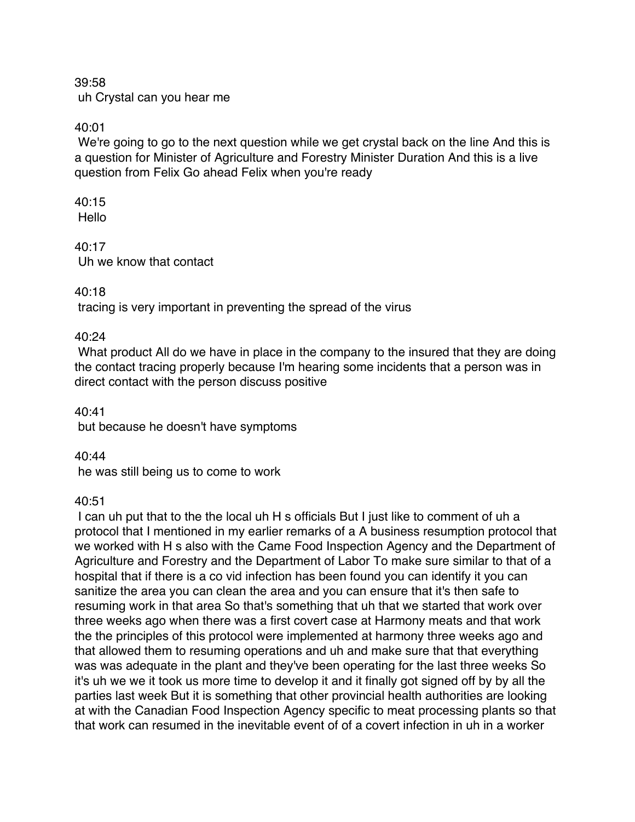39:58 uh Crystal can you hear me

40:01

We're going to go to the next question while we get crystal back on the line And this is a question for Minister of Agriculture and Forestry Minister Duration And this is a live question from Felix Go ahead Felix when you're ready

 $40.15$ Hello

40:17 Uh we know that contact

40:18

tracing is very important in preventing the spread of the virus

40:24

What product All do we have in place in the company to the insured that they are doing the contact tracing properly because I'm hearing some incidents that a person was in direct contact with the person discuss positive

40:41

but because he doesn't have symptoms

40:44

he was still being us to come to work

40:51

I can uh put that to the the local uh H s officials But I just like to comment of uh a protocol that I mentioned in my earlier remarks of a A business resumption protocol that we worked with H s also with the Came Food Inspection Agency and the Department of Agriculture and Forestry and the Department of Labor To make sure similar to that of a hospital that if there is a co vid infection has been found you can identify it you can sanitize the area you can clean the area and you can ensure that it's then safe to resuming work in that area So that's something that uh that we started that work over three weeks ago when there was a first covert case at Harmony meats and that work the the principles of this protocol were implemented at harmony three weeks ago and that allowed them to resuming operations and uh and make sure that that everything was was adequate in the plant and they've been operating for the last three weeks So it's uh we we it took us more time to develop it and it finally got signed off by by all the parties last week But it is something that other provincial health authorities are looking at with the Canadian Food Inspection Agency specific to meat processing plants so that that work can resumed in the inevitable event of of a covert infection in uh in a worker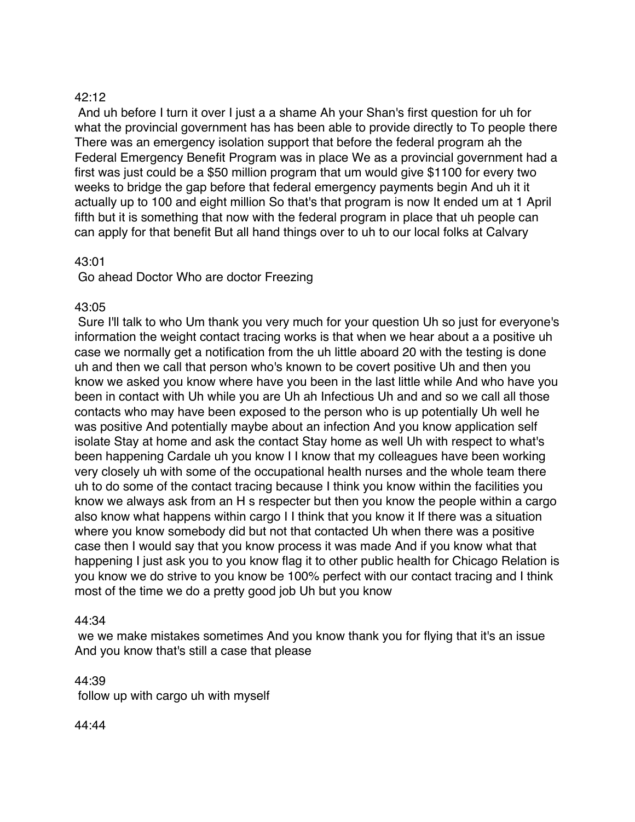# 42:12

And uh before I turn it over I just a a shame Ah your Shan's first question for uh for what the provincial government has has been able to provide directly to To people there There was an emergency isolation support that before the federal program ah the Federal Emergency Benefit Program was in place We as a provincial government had a first was just could be a \$50 million program that um would give \$1100 for every two weeks to bridge the gap before that federal emergency payments begin And uh it it actually up to 100 and eight million So that's that program is now It ended um at 1 April fifth but it is something that now with the federal program in place that uh people can can apply for that benefit But all hand things over to uh to our local folks at Calvary

# 43:01

Go ahead Doctor Who are doctor Freezing

# 43:05

Sure I'll talk to who Um thank you very much for your question Uh so just for everyone's information the weight contact tracing works is that when we hear about a a positive uh case we normally get a notification from the uh little aboard 20 with the testing is done uh and then we call that person who's known to be covert positive Uh and then you know we asked you know where have you been in the last little while And who have you been in contact with Uh while you are Uh ah Infectious Uh and and so we call all those contacts who may have been exposed to the person who is up potentially Uh well he was positive And potentially maybe about an infection And you know application self isolate Stay at home and ask the contact Stay home as well Uh with respect to what's been happening Cardale uh you know I I know that my colleagues have been working very closely uh with some of the occupational health nurses and the whole team there uh to do some of the contact tracing because I think you know within the facilities you know we always ask from an H s respecter but then you know the people within a cargo also know what happens within cargo I I think that you know it If there was a situation where you know somebody did but not that contacted Uh when there was a positive case then I would say that you know process it was made And if you know what that happening I just ask you to you know flag it to other public health for Chicago Relation is you know we do strive to you know be 100% perfect with our contact tracing and I think most of the time we do a pretty good job Uh but you know

#### 44:34

we we make mistakes sometimes And you know thank you for flying that it's an issue And you know that's still a case that please

44:39

follow up with cargo uh with myself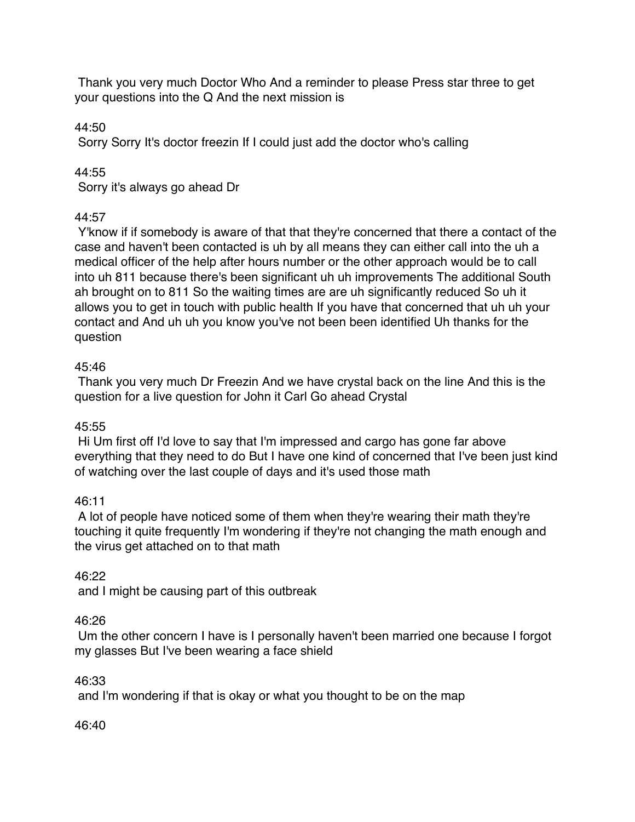Thank you very much Doctor Who And a reminder to please Press star three to get your questions into the Q And the next mission is

44:50

Sorry Sorry It's doctor freezin If I could just add the doctor who's calling

44:55

Sorry it's always go ahead Dr

# 44:57

Y'know if if somebody is aware of that that they're concerned that there a contact of the case and haven't been contacted is uh by all means they can either call into the uh a medical officer of the help after hours number or the other approach would be to call into uh 811 because there's been significant uh uh improvements The additional South ah brought on to 811 So the waiting times are are uh significantly reduced So uh it allows you to get in touch with public health If you have that concerned that uh uh your contact and And uh uh you know you've not been been identified Uh thanks for the question

# 45:46

Thank you very much Dr Freezin And we have crystal back on the line And this is the question for a live question for John it Carl Go ahead Crystal

# 45:55

Hi Um first off I'd love to say that I'm impressed and cargo has gone far above everything that they need to do But I have one kind of concerned that I've been just kind of watching over the last couple of days and it's used those math

# 46:11

A lot of people have noticed some of them when they're wearing their math they're touching it quite frequently I'm wondering if they're not changing the math enough and the virus get attached on to that math

# 46:22

and I might be causing part of this outbreak

# 46:26

Um the other concern I have is I personally haven't been married one because I forgot my glasses But I've been wearing a face shield

# 46:33

and I'm wondering if that is okay or what you thought to be on the map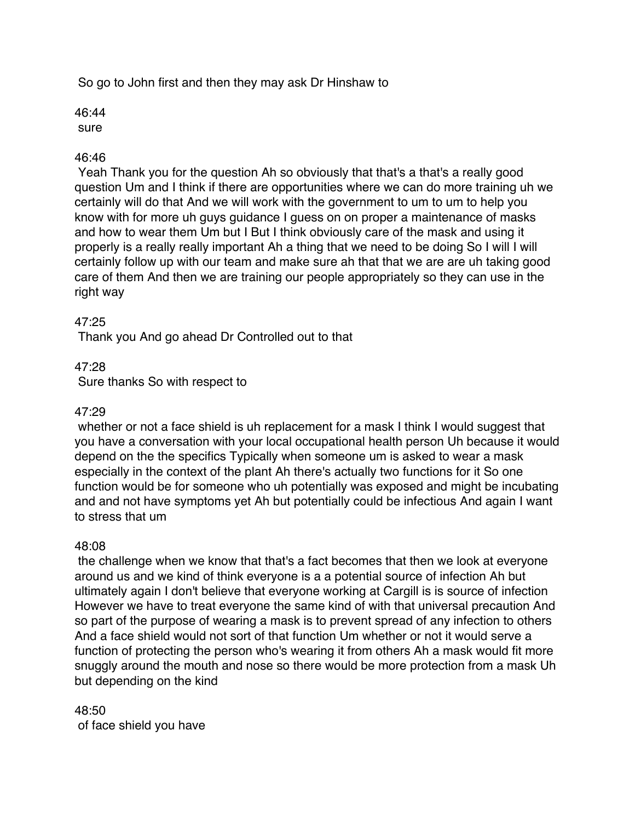So go to John first and then they may ask Dr Hinshaw to

46:44 sure

# 46:46

Yeah Thank you for the question Ah so obviously that that's a that's a really good question Um and I think if there are opportunities where we can do more training uh we certainly will do that And we will work with the government to um to um to help you know with for more uh guys guidance I guess on on proper a maintenance of masks and how to wear them Um but I But I think obviously care of the mask and using it properly is a really really important Ah a thing that we need to be doing So I will I will certainly follow up with our team and make sure ah that that we are are uh taking good care of them And then we are training our people appropriately so they can use in the right way

# 47:25

Thank you And go ahead Dr Controlled out to that

# 47:28

Sure thanks So with respect to

### 47:29

whether or not a face shield is uh replacement for a mask I think I would suggest that you have a conversation with your local occupational health person Uh because it would depend on the the specifics Typically when someone um is asked to wear a mask especially in the context of the plant Ah there's actually two functions for it So one function would be for someone who uh potentially was exposed and might be incubating and and not have symptoms yet Ah but potentially could be infectious And again I want to stress that um

#### 48:08

the challenge when we know that that's a fact becomes that then we look at everyone around us and we kind of think everyone is a a potential source of infection Ah but ultimately again I don't believe that everyone working at Cargill is is source of infection However we have to treat everyone the same kind of with that universal precaution And so part of the purpose of wearing a mask is to prevent spread of any infection to others And a face shield would not sort of that function Um whether or not it would serve a function of protecting the person who's wearing it from others Ah a mask would fit more snuggly around the mouth and nose so there would be more protection from a mask Uh but depending on the kind

# 48:50

of face shield you have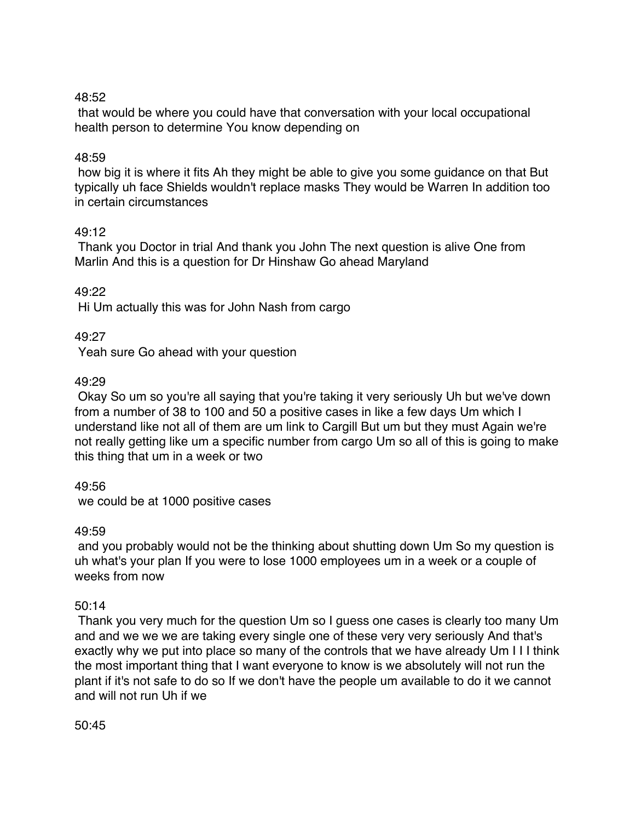# 48:52

that would be where you could have that conversation with your local occupational health person to determine You know depending on

# 48:59

how big it is where it fits Ah they might be able to give you some guidance on that But typically uh face Shields wouldn't replace masks They would be Warren In addition too in certain circumstances

# 49:12

Thank you Doctor in trial And thank you John The next question is alive One from Marlin And this is a question for Dr Hinshaw Go ahead Maryland

# 49:22

Hi Um actually this was for John Nash from cargo

# 49:27

Yeah sure Go ahead with your question

# 49:29

Okay So um so you're all saying that you're taking it very seriously Uh but we've down from a number of 38 to 100 and 50 a positive cases in like a few days Um which I understand like not all of them are um link to Cargill But um but they must Again we're not really getting like um a specific number from cargo Um so all of this is going to make this thing that um in a week or two

49:56

we could be at 1000 positive cases

# 49:59

and you probably would not be the thinking about shutting down Um So my question is uh what's your plan If you were to lose 1000 employees um in a week or a couple of weeks from now

# 50:14

Thank you very much for the question Um so I guess one cases is clearly too many Um and and we we we are taking every single one of these very very seriously And that's exactly why we put into place so many of the controls that we have already Um I I I think the most important thing that I want everyone to know is we absolutely will not run the plant if it's not safe to do so If we don't have the people um available to do it we cannot and will not run Uh if we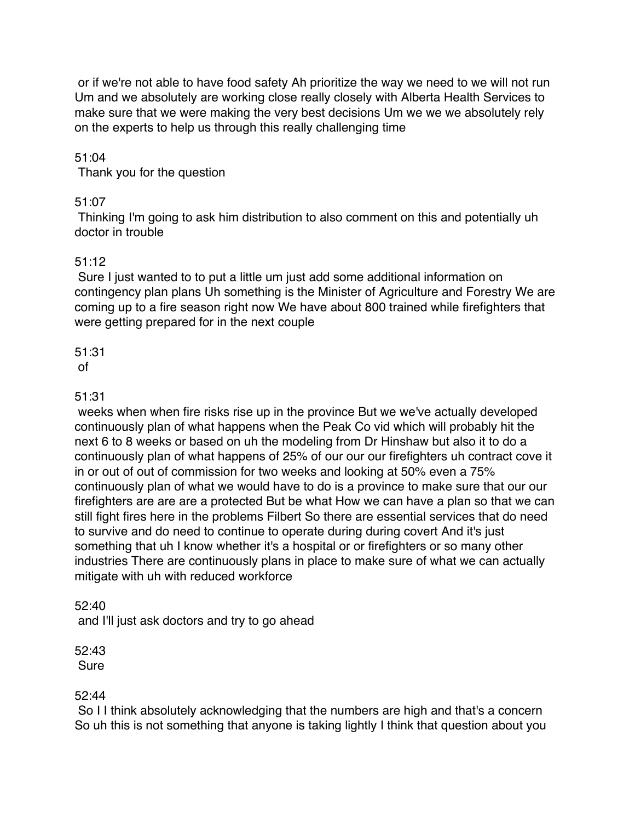or if we're not able to have food safety Ah prioritize the way we need to we will not run Um and we absolutely are working close really closely with Alberta Health Services to make sure that we were making the very best decisions Um we we we absolutely rely on the experts to help us through this really challenging time

# 51:04

Thank you for the question

# 51:07

Thinking I'm going to ask him distribution to also comment on this and potentially uh doctor in trouble

# 51:12

Sure I just wanted to to put a little um just add some additional information on contingency plan plans Uh something is the Minister of Agriculture and Forestry We are coming up to a fire season right now We have about 800 trained while firefighters that were getting prepared for in the next couple

#### 51:31 of

#### 51:31

weeks when when fire risks rise up in the province But we we've actually developed continuously plan of what happens when the Peak Co vid which will probably hit the next 6 to 8 weeks or based on uh the modeling from Dr Hinshaw but also it to do a continuously plan of what happens of 25% of our our our firefighters uh contract cove it in or out of out of commission for two weeks and looking at 50% even a 75% continuously plan of what we would have to do is a province to make sure that our our firefighters are are are a protected But be what How we can have a plan so that we can still fight fires here in the problems Filbert So there are essential services that do need to survive and do need to continue to operate during during covert And it's just something that uh I know whether it's a hospital or or firefighters or so many other industries There are continuously plans in place to make sure of what we can actually mitigate with uh with reduced workforce

#### 52:40

and I'll just ask doctors and try to go ahead

#### 52:43 Sure

#### 52:44

So I I think absolutely acknowledging that the numbers are high and that's a concern So uh this is not something that anyone is taking lightly I think that question about you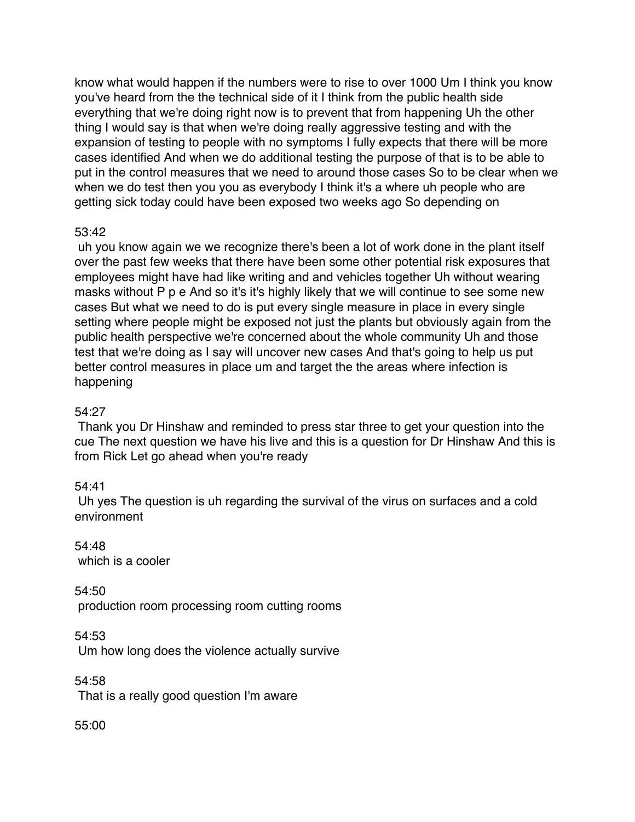know what would happen if the numbers were to rise to over 1000 Um I think you know you've heard from the the technical side of it I think from the public health side everything that we're doing right now is to prevent that from happening Uh the other thing I would say is that when we're doing really aggressive testing and with the expansion of testing to people with no symptoms I fully expects that there will be more cases identified And when we do additional testing the purpose of that is to be able to put in the control measures that we need to around those cases So to be clear when we when we do test then you you as everybody I think it's a where uh people who are getting sick today could have been exposed two weeks ago So depending on

# 53:42

uh you know again we we recognize there's been a lot of work done in the plant itself over the past few weeks that there have been some other potential risk exposures that employees might have had like writing and and vehicles together Uh without wearing masks without P p e And so it's it's highly likely that we will continue to see some new cases But what we need to do is put every single measure in place in every single setting where people might be exposed not just the plants but obviously again from the public health perspective we're concerned about the whole community Uh and those test that we're doing as I say will uncover new cases And that's going to help us put better control measures in place um and target the the areas where infection is happening

# 54:27

Thank you Dr Hinshaw and reminded to press star three to get your question into the cue The next question we have his live and this is a question for Dr Hinshaw And this is from Rick Let go ahead when you're ready

# 54:41

Uh yes The question is uh regarding the survival of the virus on surfaces and a cold environment

54:48 which is a cooler

54:50 production room processing room cutting rooms

54:53 Um how long does the violence actually survive

54:58 That is a really good question I'm aware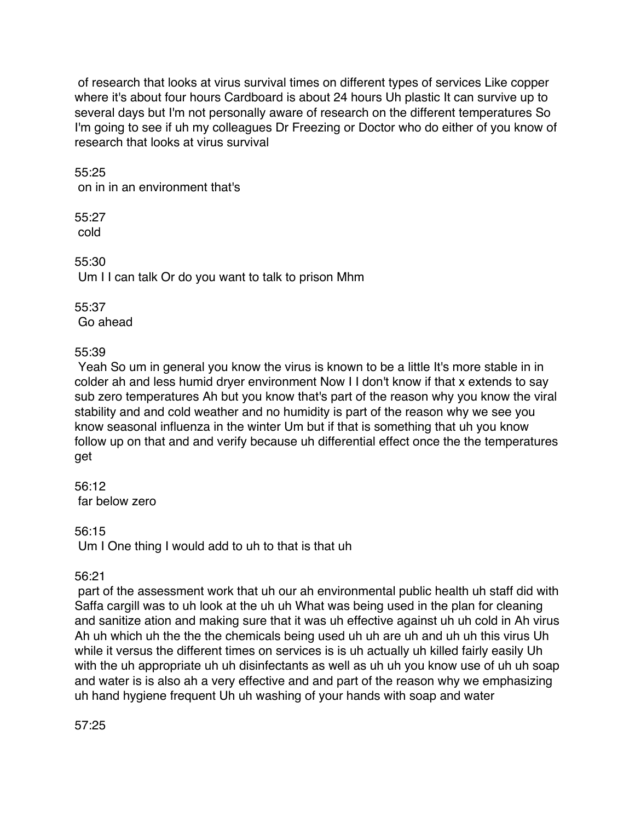of research that looks at virus survival times on different types of services Like copper where it's about four hours Cardboard is about 24 hours Uh plastic It can survive up to several days but I'm not personally aware of research on the different temperatures So I'm going to see if uh my colleagues Dr Freezing or Doctor who do either of you know of research that looks at virus survival

55:25

on in in an environment that's

55:27 cold

55:30

Um I I can talk Or do you want to talk to prison Mhm

55:37 Go ahead

55:39

Yeah So um in general you know the virus is known to be a little It's more stable in in colder ah and less humid dryer environment Now I I don't know if that x extends to say sub zero temperatures Ah but you know that's part of the reason why you know the viral stability and and cold weather and no humidity is part of the reason why we see you know seasonal influenza in the winter Um but if that is something that uh you know follow up on that and and verify because uh differential effect once the the temperatures get

56:12 far below zero

56:15

Um I One thing I would add to uh to that is that uh

# 56:21

part of the assessment work that uh our ah environmental public health uh staff did with Saffa cargill was to uh look at the uh uh What was being used in the plan for cleaning and sanitize ation and making sure that it was uh effective against uh uh cold in Ah virus Ah uh which uh the the the chemicals being used uh uh are uh and uh uh this virus Uh while it versus the different times on services is is uh actually uh killed fairly easily Uh with the uh appropriate uh uh disinfectants as well as uh uh you know use of uh uh soap and water is is also ah a very effective and and part of the reason why we emphasizing uh hand hygiene frequent Uh uh washing of your hands with soap and water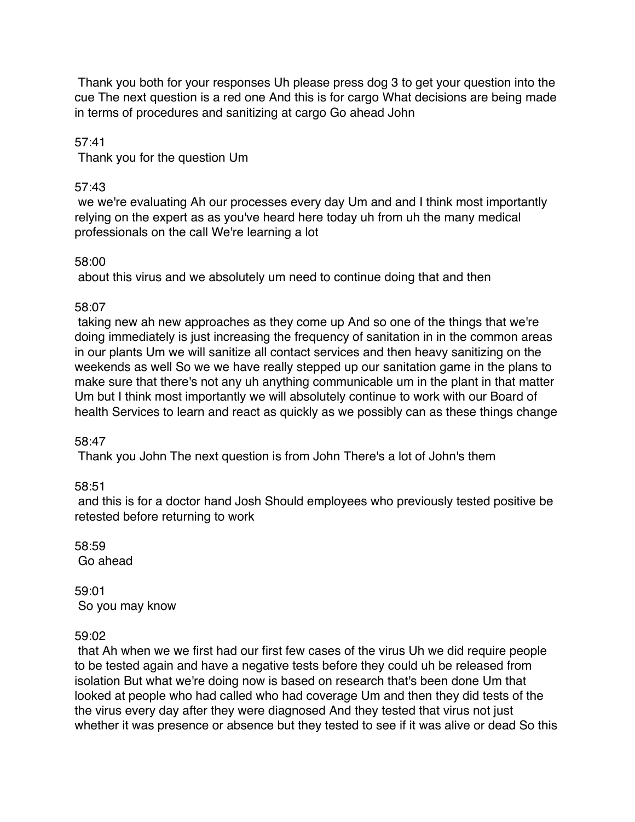Thank you both for your responses Uh please press dog 3 to get your question into the cue The next question is a red one And this is for cargo What decisions are being made in terms of procedures and sanitizing at cargo Go ahead John

57:41

Thank you for the question Um

# 57:43

we we're evaluating Ah our processes every day Um and and I think most importantly relying on the expert as as you've heard here today uh from uh the many medical professionals on the call We're learning a lot

# 58:00

about this virus and we absolutely um need to continue doing that and then

# 58:07

taking new ah new approaches as they come up And so one of the things that we're doing immediately is just increasing the frequency of sanitation in in the common areas in our plants Um we will sanitize all contact services and then heavy sanitizing on the weekends as well So we we have really stepped up our sanitation game in the plans to make sure that there's not any uh anything communicable um in the plant in that matter Um but I think most importantly we will absolutely continue to work with our Board of health Services to learn and react as quickly as we possibly can as these things change

# 58:47

Thank you John The next question is from John There's a lot of John's them

58:51

and this is for a doctor hand Josh Should employees who previously tested positive be retested before returning to work

58:59 Go ahead

59:01 So you may know

# 59:02

that Ah when we we first had our first few cases of the virus Uh we did require people to be tested again and have a negative tests before they could uh be released from isolation But what we're doing now is based on research that's been done Um that looked at people who had called who had coverage Um and then they did tests of the the virus every day after they were diagnosed And they tested that virus not just whether it was presence or absence but they tested to see if it was alive or dead So this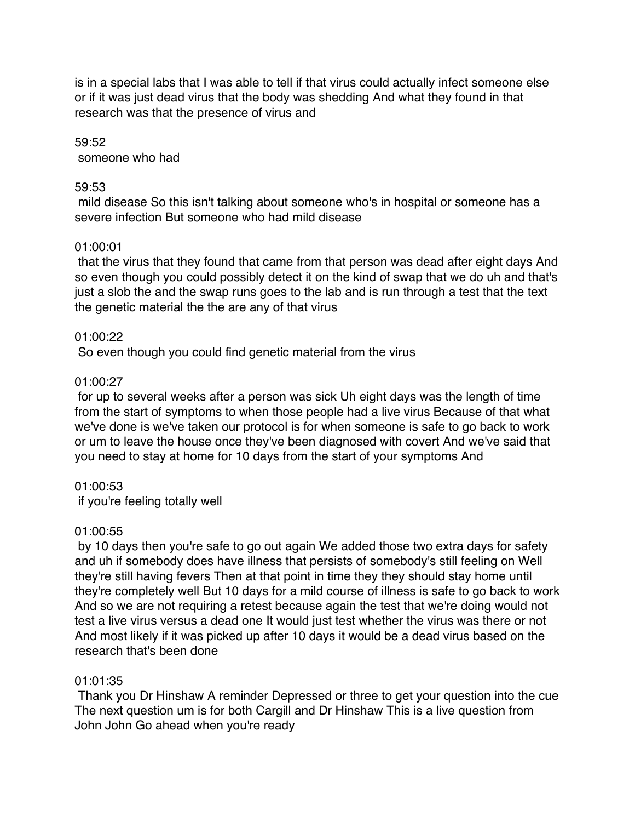is in a special labs that I was able to tell if that virus could actually infect someone else or if it was just dead virus that the body was shedding And what they found in that research was that the presence of virus and

59:52 someone who had

### 59:53

mild disease So this isn't talking about someone who's in hospital or someone has a severe infection But someone who had mild disease

# 01:00:01

that the virus that they found that came from that person was dead after eight days And so even though you could possibly detect it on the kind of swap that we do uh and that's just a slob the and the swap runs goes to the lab and is run through a test that the text the genetic material the the are any of that virus

# 01:00:22

So even though you could find genetic material from the virus

# 01:00:27

for up to several weeks after a person was sick Uh eight days was the length of time from the start of symptoms to when those people had a live virus Because of that what we've done is we've taken our protocol is for when someone is safe to go back to work or um to leave the house once they've been diagnosed with covert And we've said that you need to stay at home for 10 days from the start of your symptoms And

#### 01:00:53

if you're feeling totally well

# 01:00:55

by 10 days then you're safe to go out again We added those two extra days for safety and uh if somebody does have illness that persists of somebody's still feeling on Well they're still having fevers Then at that point in time they they should stay home until they're completely well But 10 days for a mild course of illness is safe to go back to work And so we are not requiring a retest because again the test that we're doing would not test a live virus versus a dead one It would just test whether the virus was there or not And most likely if it was picked up after 10 days it would be a dead virus based on the research that's been done

# 01:01:35

Thank you Dr Hinshaw A reminder Depressed or three to get your question into the cue The next question um is for both Cargill and Dr Hinshaw This is a live question from John John Go ahead when you're ready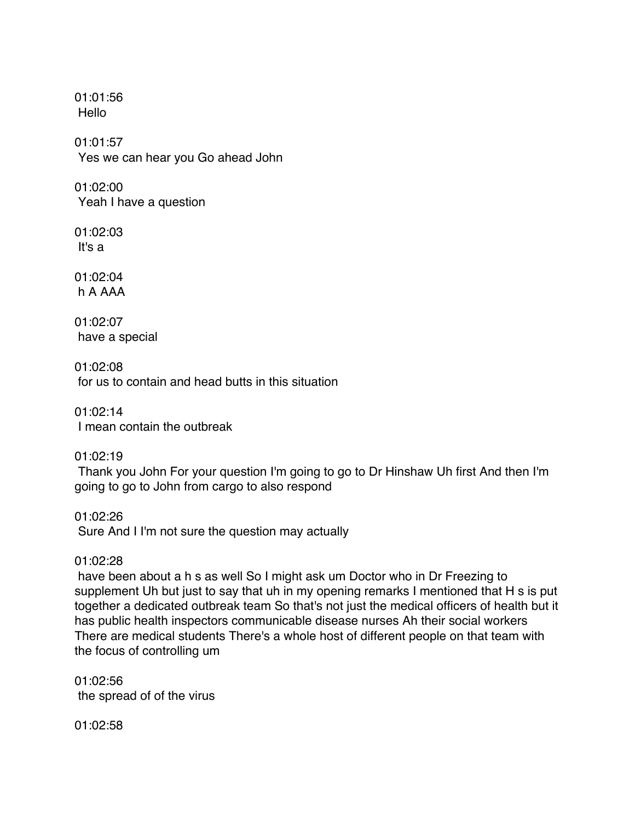01:01:56 Hello

01:01:57 Yes we can hear you Go ahead John

01:02:00 Yeah I have a question

01:02:03 It's a

01:02:04 h A AAA

01:02:07 have a special

01:02:08 for us to contain and head butts in this situation

01:02:14 I mean contain the outbreak

01:02:19

Thank you John For your question I'm going to go to Dr Hinshaw Uh first And then I'm going to go to John from cargo to also respond

01:02:26 Sure And I I'm not sure the question may actually

# 01:02:28

have been about a h s as well So I might ask um Doctor who in Dr Freezing to supplement Uh but just to say that uh in my opening remarks I mentioned that H s is put together a dedicated outbreak team So that's not just the medical officers of health but it has public health inspectors communicable disease nurses Ah their social workers There are medical students There's a whole host of different people on that team with the focus of controlling um

01:02:56 the spread of of the virus

01:02:58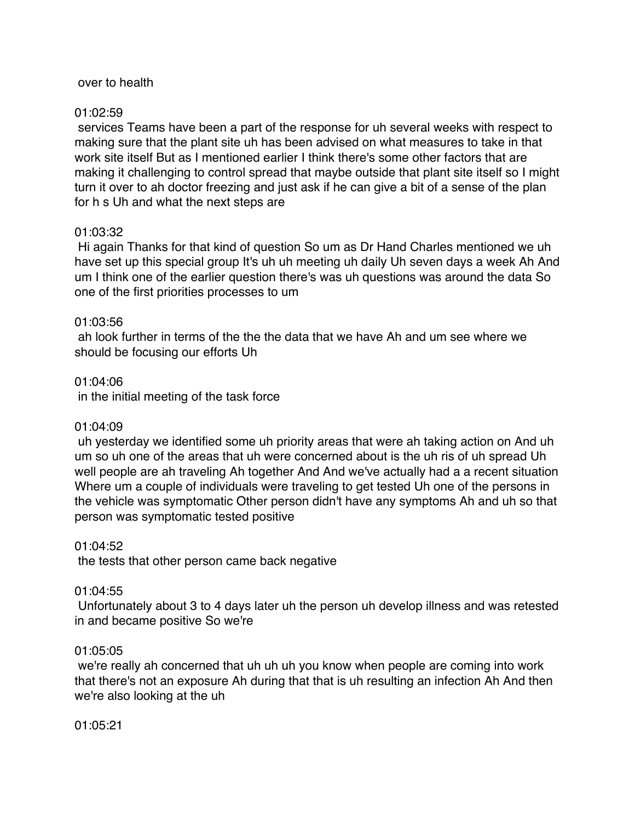#### over to health

#### 01:02:59

services Teams have been a part of the response for uh several weeks with respect to making sure that the plant site uh has been advised on what measures to take in that work site itself But as I mentioned earlier I think there's some other factors that are making it challenging to control spread that maybe outside that plant site itself so I might turn it over to ah doctor freezing and just ask if he can give a bit of a sense of the plan for h s Uh and what the next steps are

#### 01:03:32

Hi again Thanks for that kind of question So um as Dr Hand Charles mentioned we uh have set up this special group It's uh uh meeting uh daily Uh seven days a week Ah And um I think one of the earlier question there's was uh questions was around the data So one of the first priorities processes to um

#### 01:03:56

ah look further in terms of the the the data that we have Ah and um see where we should be focusing our efforts Uh

#### 01:04:06

in the initial meeting of the task force

#### 01:04:09

uh yesterday we identified some uh priority areas that were ah taking action on And uh um so uh one of the areas that uh were concerned about is the uh ris of uh spread Uh well people are ah traveling Ah together And And we've actually had a a recent situation Where um a couple of individuals were traveling to get tested Uh one of the persons in the vehicle was symptomatic Other person didn't have any symptoms Ah and uh so that person was symptomatic tested positive

#### 01:04:52

the tests that other person came back negative

#### 01:04:55

Unfortunately about 3 to 4 days later uh the person uh develop illness and was retested in and became positive So we're

#### 01:05:05

we're really ah concerned that uh uh uh you know when people are coming into work that there's not an exposure Ah during that that is uh resulting an infection Ah And then we're also looking at the uh

01:05:21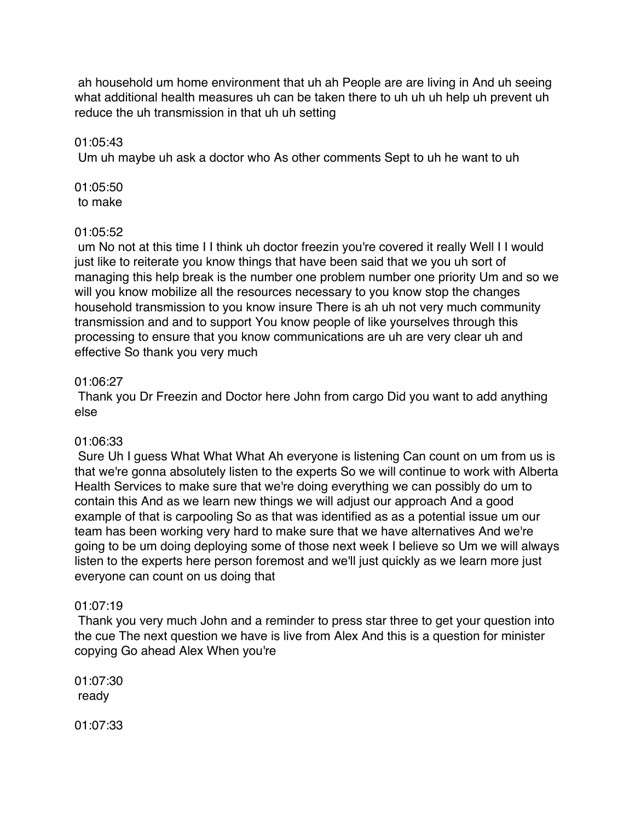ah household um home environment that uh ah People are are living in And uh seeing what additional health measures uh can be taken there to uh uh uh help uh prevent uh reduce the uh transmission in that uh uh setting

#### 01:05:43

Um uh maybe uh ask a doctor who As other comments Sept to uh he want to uh

01:05:50 to make

#### 01:05:52

um No not at this time I I think uh doctor freezin you're covered it really Well I I would just like to reiterate you know things that have been said that we you uh sort of managing this help break is the number one problem number one priority Um and so we will you know mobilize all the resources necessary to you know stop the changes household transmission to you know insure There is ah uh not very much community transmission and and to support You know people of like yourselves through this processing to ensure that you know communications are uh are very clear uh and effective So thank you very much

#### 01:06:27

Thank you Dr Freezin and Doctor here John from cargo Did you want to add anything else

#### 01:06:33

Sure Uh I guess What What What Ah everyone is listening Can count on um from us is that we're gonna absolutely listen to the experts So we will continue to work with Alberta Health Services to make sure that we're doing everything we can possibly do um to contain this And as we learn new things we will adjust our approach And a good example of that is carpooling So as that was identified as as a potential issue um our team has been working very hard to make sure that we have alternatives And we're going to be um doing deploying some of those next week I believe so Um we will always listen to the experts here person foremost and we'll just quickly as we learn more just everyone can count on us doing that

#### 01:07:19

Thank you very much John and a reminder to press star three to get your question into the cue The next question we have is live from Alex And this is a question for minister copying Go ahead Alex When you're

01:07:30 ready

01:07:33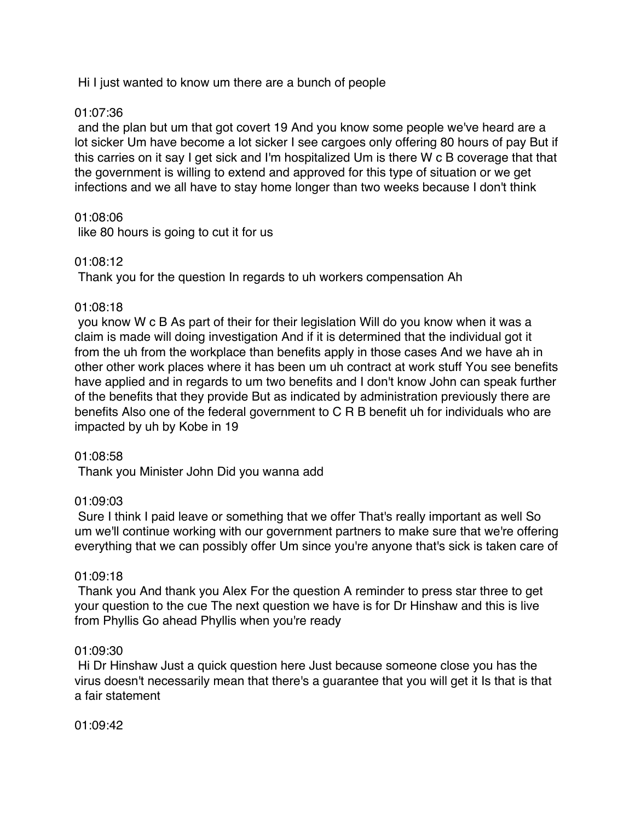Hi I just wanted to know um there are a bunch of people

# 01:07:36

and the plan but um that got covert 19 And you know some people we've heard are a lot sicker Um have become a lot sicker I see cargoes only offering 80 hours of pay But if this carries on it say I get sick and I'm hospitalized Um is there W c B coverage that that the government is willing to extend and approved for this type of situation or we get infections and we all have to stay home longer than two weeks because I don't think

# 01:08:06

like 80 hours is going to cut it for us

# 01:08:12

Thank you for the question In regards to uh workers compensation Ah

# 01:08:18

you know W c B As part of their for their legislation Will do you know when it was a claim is made will doing investigation And if it is determined that the individual got it from the uh from the workplace than benefits apply in those cases And we have ah in other other work places where it has been um uh contract at work stuff You see benefits have applied and in regards to um two benefits and I don't know John can speak further of the benefits that they provide But as indicated by administration previously there are benefits Also one of the federal government to C R B benefit uh for individuals who are impacted by uh by Kobe in 19

# 01:08:58

Thank you Minister John Did you wanna add

# 01:09:03

Sure I think I paid leave or something that we offer That's really important as well So um we'll continue working with our government partners to make sure that we're offering everything that we can possibly offer Um since you're anyone that's sick is taken care of

# 01:09:18

Thank you And thank you Alex For the question A reminder to press star three to get your question to the cue The next question we have is for Dr Hinshaw and this is live from Phyllis Go ahead Phyllis when you're ready

#### 01:09:30

Hi Dr Hinshaw Just a quick question here Just because someone close you has the virus doesn't necessarily mean that there's a guarantee that you will get it Is that is that a fair statement

01:09:42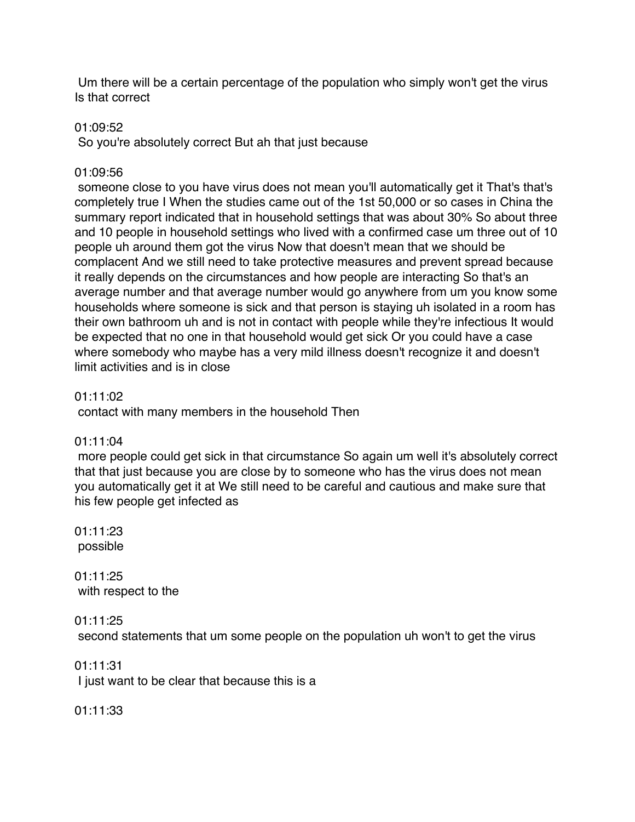Um there will be a certain percentage of the population who simply won't get the virus Is that correct

### 01:09:52

So you're absolutely correct But ah that just because

# 01:09:56

someone close to you have virus does not mean you'll automatically get it That's that's completely true I When the studies came out of the 1st 50,000 or so cases in China the summary report indicated that in household settings that was about 30% So about three and 10 people in household settings who lived with a confirmed case um three out of 10 people uh around them got the virus Now that doesn't mean that we should be complacent And we still need to take protective measures and prevent spread because it really depends on the circumstances and how people are interacting So that's an average number and that average number would go anywhere from um you know some households where someone is sick and that person is staying uh isolated in a room has their own bathroom uh and is not in contact with people while they're infectious It would be expected that no one in that household would get sick Or you could have a case where somebody who maybe has a very mild illness doesn't recognize it and doesn't limit activities and is in close

# 01:11:02

contact with many members in the household Then

# 01:11:04

more people could get sick in that circumstance So again um well it's absolutely correct that that just because you are close by to someone who has the virus does not mean you automatically get it at We still need to be careful and cautious and make sure that his few people get infected as

01:11:23 possible

01:11:25 with respect to the

01:11:25

second statements that um some people on the population uh won't to get the virus

01:11:31 I just want to be clear that because this is a

01:11:33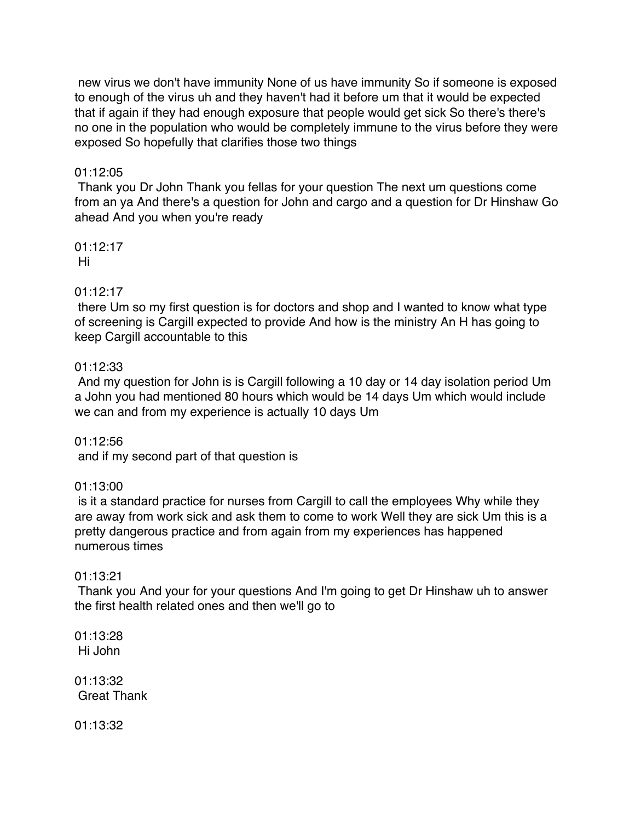new virus we don't have immunity None of us have immunity So if someone is exposed to enough of the virus uh and they haven't had it before um that it would be expected that if again if they had enough exposure that people would get sick So there's there's no one in the population who would be completely immune to the virus before they were exposed So hopefully that clarifies those two things

# 01:12:05

Thank you Dr John Thank you fellas for your question The next um questions come from an ya And there's a question for John and cargo and a question for Dr Hinshaw Go ahead And you when you're ready

01:12:17 Hi

# 01:12:17

there Um so my first question is for doctors and shop and I wanted to know what type of screening is Cargill expected to provide And how is the ministry An H has going to keep Cargill accountable to this

#### 01:12:33

And my question for John is is Cargill following a 10 day or 14 day isolation period Um a John you had mentioned 80 hours which would be 14 days Um which would include we can and from my experience is actually 10 days Um

01:12:56 and if my second part of that question is

# 01:13:00

is it a standard practice for nurses from Cargill to call the employees Why while they are away from work sick and ask them to come to work Well they are sick Um this is a pretty dangerous practice and from again from my experiences has happened numerous times

#### 01:13:21

Thank you And your for your questions And I'm going to get Dr Hinshaw uh to answer the first health related ones and then we'll go to

01:13:28 Hi John

01:13:32 Great Thank

01:13:32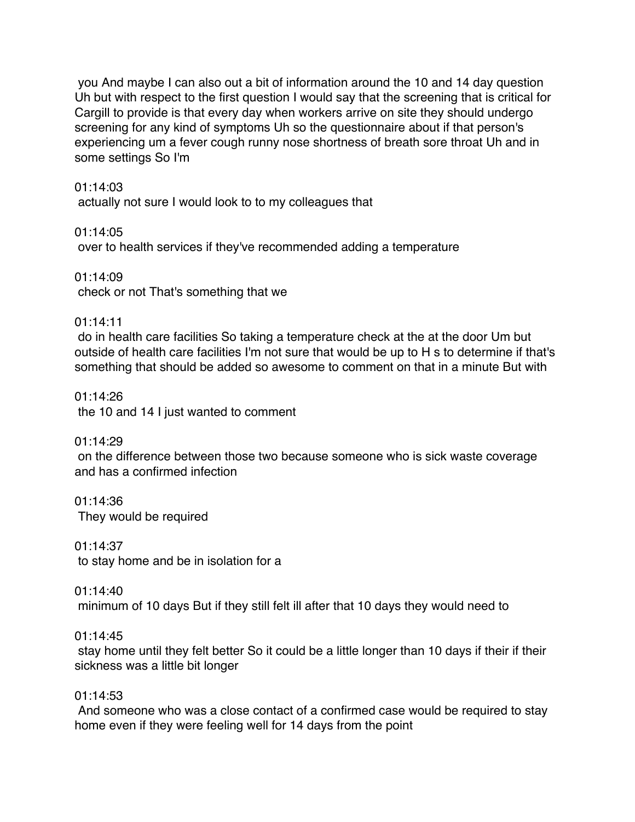you And maybe I can also out a bit of information around the 10 and 14 day question Uh but with respect to the first question I would say that the screening that is critical for Cargill to provide is that every day when workers arrive on site they should undergo screening for any kind of symptoms Uh so the questionnaire about if that person's experiencing um a fever cough runny nose shortness of breath sore throat Uh and in some settings So I'm

#### 01:14:03

actually not sure I would look to to my colleagues that

01:14:05 over to health services if they've recommended adding a temperature

01:14:09 check or not That's something that we

01:14:11

do in health care facilities So taking a temperature check at the at the door Um but outside of health care facilities I'm not sure that would be up to H s to determine if that's something that should be added so awesome to comment on that in a minute But with

01:14:26 the 10 and 14 I just wanted to comment

01:14:29 on the difference between those two because someone who is sick waste coverage and has a confirmed infection

01:14:36 They would be required

01:14:37 to stay home and be in isolation for a

01:14:40 minimum of 10 days But if they still felt ill after that 10 days they would need to

#### 01:14:45

stay home until they felt better So it could be a little longer than 10 days if their if their sickness was a little bit longer

#### 01:14:53

And someone who was a close contact of a confirmed case would be required to stay home even if they were feeling well for 14 days from the point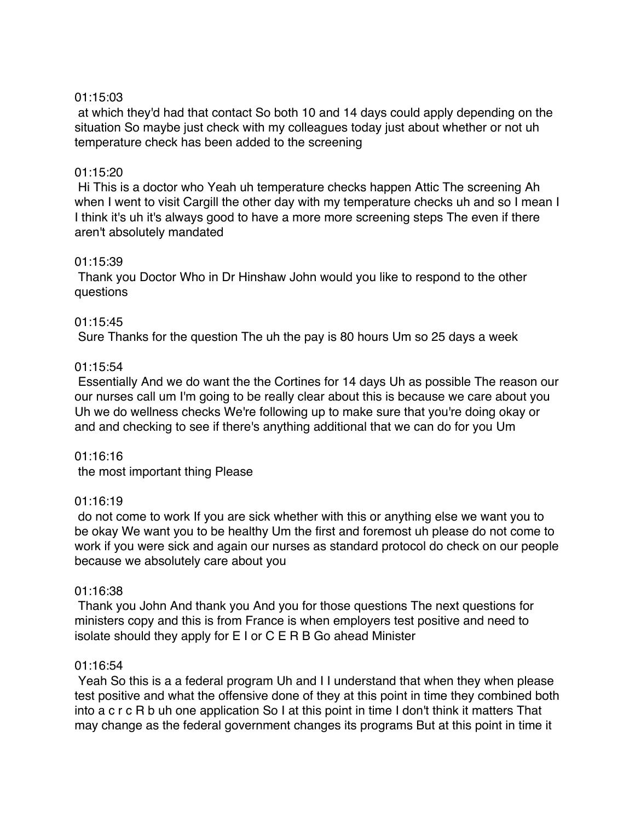#### 01:15:03

at which they'd had that contact So both 10 and 14 days could apply depending on the situation So maybe just check with my colleagues today just about whether or not uh temperature check has been added to the screening

### 01:15:20

Hi This is a doctor who Yeah uh temperature checks happen Attic The screening Ah when I went to visit Cargill the other day with my temperature checks uh and so I mean I I think it's uh it's always good to have a more more screening steps The even if there aren't absolutely mandated

#### 01:15:39

Thank you Doctor Who in Dr Hinshaw John would you like to respond to the other questions

# 01:15:45

Sure Thanks for the question The uh the pay is 80 hours Um so 25 days a week

# 01:15:54

Essentially And we do want the the Cortines for 14 days Uh as possible The reason our our nurses call um I'm going to be really clear about this is because we care about you Uh we do wellness checks We're following up to make sure that you're doing okay or and and checking to see if there's anything additional that we can do for you Um

#### 01:16:16

the most important thing Please

#### 01:16:19

do not come to work If you are sick whether with this or anything else we want you to be okay We want you to be healthy Um the first and foremost uh please do not come to work if you were sick and again our nurses as standard protocol do check on our people because we absolutely care about you

#### 01:16:38

Thank you John And thank you And you for those questions The next questions for ministers copy and this is from France is when employers test positive and need to isolate should they apply for E I or C E R B Go ahead Minister

# 01:16:54

Yeah So this is a a federal program Uh and I I understand that when they when please test positive and what the offensive done of they at this point in time they combined both into a c r c R b uh one application So I at this point in time I don't think it matters That may change as the federal government changes its programs But at this point in time it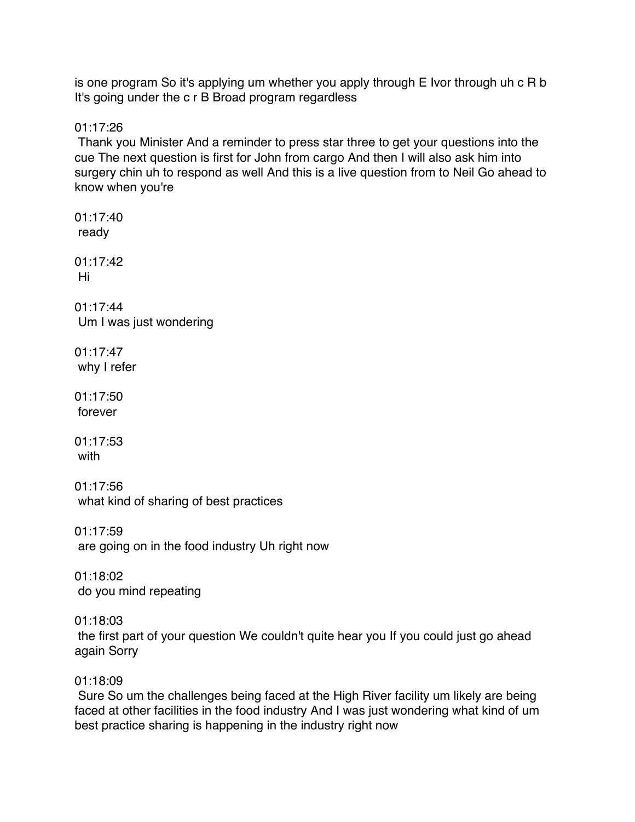is one program So it's applying um whether you apply through E Ivor through uh c R b It's going under the c r B Broad program regardless

01:17:26

Thank you Minister And a reminder to press star three to get your questions into the cue The next question is first for John from cargo And then I will also ask him into surgery chin uh to respond as well And this is a live question from to Neil Go ahead to know when you're

01:17:40 ready 01:17:42 Hi 01:17:44 Um I was just wondering 01:17:47 why I refer 01:17:50 forever 01:17:53 with 01:17:56 what kind of sharing of best practices 01:17:59 are going on in the food industry Uh right now 01:18:02 do you mind repeating 01:18:03 the first part of your question We couldn't quite hear you If you could just go ahead again Sorry 01:18:09 Sure So um the challenges being faced at the High River facility um likely are being faced at other facilities in the food industry And I was just wondering what kind of um

best practice sharing is happening in the industry right now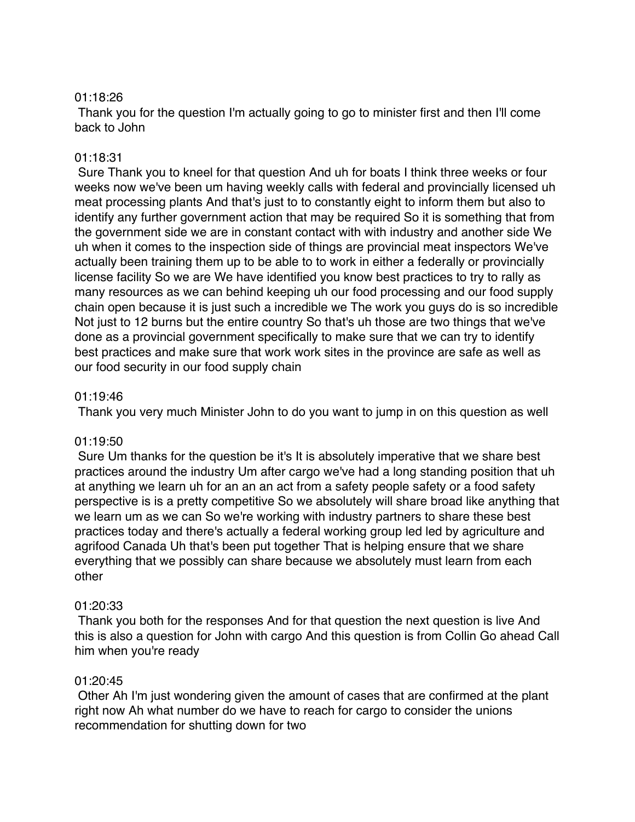#### 01:18:26

Thank you for the question I'm actually going to go to minister first and then I'll come back to John

# 01:18:31

Sure Thank you to kneel for that question And uh for boats I think three weeks or four weeks now we've been um having weekly calls with federal and provincially licensed uh meat processing plants And that's just to to constantly eight to inform them but also to identify any further government action that may be required So it is something that from the government side we are in constant contact with with industry and another side We uh when it comes to the inspection side of things are provincial meat inspectors We've actually been training them up to be able to to work in either a federally or provincially license facility So we are We have identified you know best practices to try to rally as many resources as we can behind keeping uh our food processing and our food supply chain open because it is just such a incredible we The work you guys do is so incredible Not just to 12 burns but the entire country So that's uh those are two things that we've done as a provincial government specifically to make sure that we can try to identify best practices and make sure that work work sites in the province are safe as well as our food security in our food supply chain

# 01:19:46

Thank you very much Minister John to do you want to jump in on this question as well

#### 01:19:50

Sure Um thanks for the question be it's It is absolutely imperative that we share best practices around the industry Um after cargo we've had a long standing position that uh at anything we learn uh for an an an act from a safety people safety or a food safety perspective is is a pretty competitive So we absolutely will share broad like anything that we learn um as we can So we're working with industry partners to share these best practices today and there's actually a federal working group led led by agriculture and agrifood Canada Uh that's been put together That is helping ensure that we share everything that we possibly can share because we absolutely must learn from each other

# 01:20:33

Thank you both for the responses And for that question the next question is live And this is also a question for John with cargo And this question is from Collin Go ahead Call him when you're ready

#### 01:20:45

Other Ah I'm just wondering given the amount of cases that are confirmed at the plant right now Ah what number do we have to reach for cargo to consider the unions recommendation for shutting down for two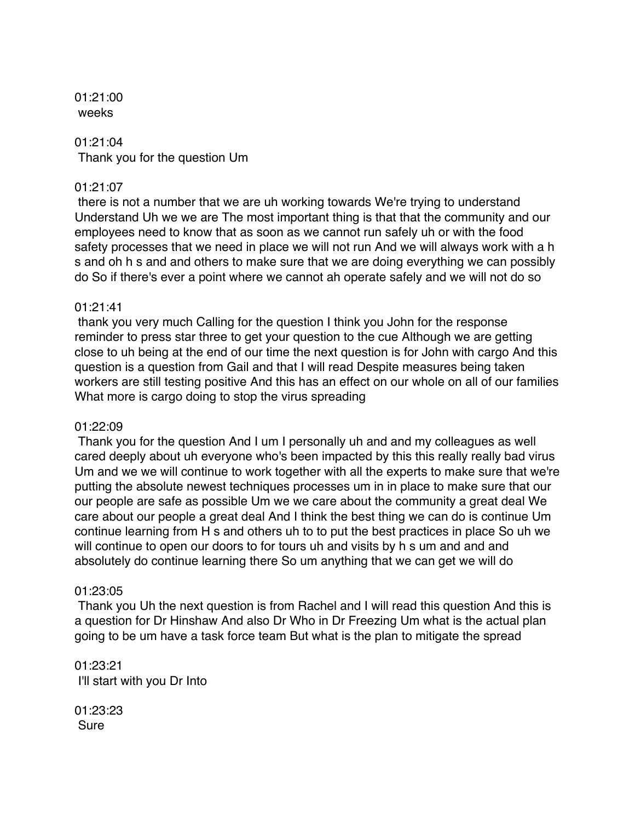01:21:00 weeks

#### 01:21:04

Thank you for the question Um

#### 01:21:07

there is not a number that we are uh working towards We're trying to understand Understand Uh we we are The most important thing is that that the community and our employees need to know that as soon as we cannot run safely uh or with the food safety processes that we need in place we will not run And we will always work with a h s and oh h s and and others to make sure that we are doing everything we can possibly do So if there's ever a point where we cannot ah operate safely and we will not do so

#### 01:21:41

thank you very much Calling for the question I think you John for the response reminder to press star three to get your question to the cue Although we are getting close to uh being at the end of our time the next question is for John with cargo And this question is a question from Gail and that I will read Despite measures being taken workers are still testing positive And this has an effect on our whole on all of our families What more is cargo doing to stop the virus spreading

#### 01:22:09

Thank you for the question And I um I personally uh and and my colleagues as well cared deeply about uh everyone who's been impacted by this this really really bad virus Um and we we will continue to work together with all the experts to make sure that we're putting the absolute newest techniques processes um in in place to make sure that our our people are safe as possible Um we we care about the community a great deal We care about our people a great deal And I think the best thing we can do is continue Um continue learning from H s and others uh to to put the best practices in place So uh we will continue to open our doors to for tours uh and visits by h s um and and and absolutely do continue learning there So um anything that we can get we will do

#### 01:23:05

Thank you Uh the next question is from Rachel and I will read this question And this is a question for Dr Hinshaw And also Dr Who in Dr Freezing Um what is the actual plan going to be um have a task force team But what is the plan to mitigate the spread

01:23:21 I'll start with you Dr Into

01:23:23 Sure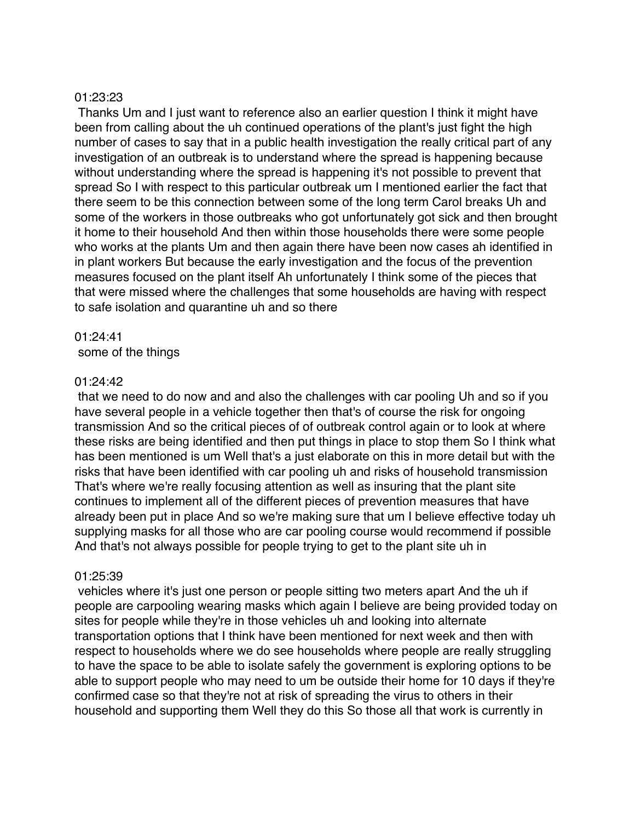#### 01:23:23

Thanks Um and I just want to reference also an earlier question I think it might have been from calling about the uh continued operations of the plant's just fight the high number of cases to say that in a public health investigation the really critical part of any investigation of an outbreak is to understand where the spread is happening because without understanding where the spread is happening it's not possible to prevent that spread So I with respect to this particular outbreak um I mentioned earlier the fact that there seem to be this connection between some of the long term Carol breaks Uh and some of the workers in those outbreaks who got unfortunately got sick and then brought it home to their household And then within those households there were some people who works at the plants Um and then again there have been now cases ah identified in in plant workers But because the early investigation and the focus of the prevention measures focused on the plant itself Ah unfortunately I think some of the pieces that that were missed where the challenges that some households are having with respect to safe isolation and quarantine uh and so there

01:24:41 some of the things

#### 01:24:42

that we need to do now and and also the challenges with car pooling Uh and so if you have several people in a vehicle together then that's of course the risk for ongoing transmission And so the critical pieces of of outbreak control again or to look at where these risks are being identified and then put things in place to stop them So I think what has been mentioned is um Well that's a just elaborate on this in more detail but with the risks that have been identified with car pooling uh and risks of household transmission That's where we're really focusing attention as well as insuring that the plant site continues to implement all of the different pieces of prevention measures that have already been put in place And so we're making sure that um I believe effective today uh supplying masks for all those who are car pooling course would recommend if possible And that's not always possible for people trying to get to the plant site uh in

#### 01:25:39

vehicles where it's just one person or people sitting two meters apart And the uh if people are carpooling wearing masks which again I believe are being provided today on sites for people while they're in those vehicles uh and looking into alternate transportation options that I think have been mentioned for next week and then with respect to households where we do see households where people are really struggling to have the space to be able to isolate safely the government is exploring options to be able to support people who may need to um be outside their home for 10 days if they're confirmed case so that they're not at risk of spreading the virus to others in their household and supporting them Well they do this So those all that work is currently in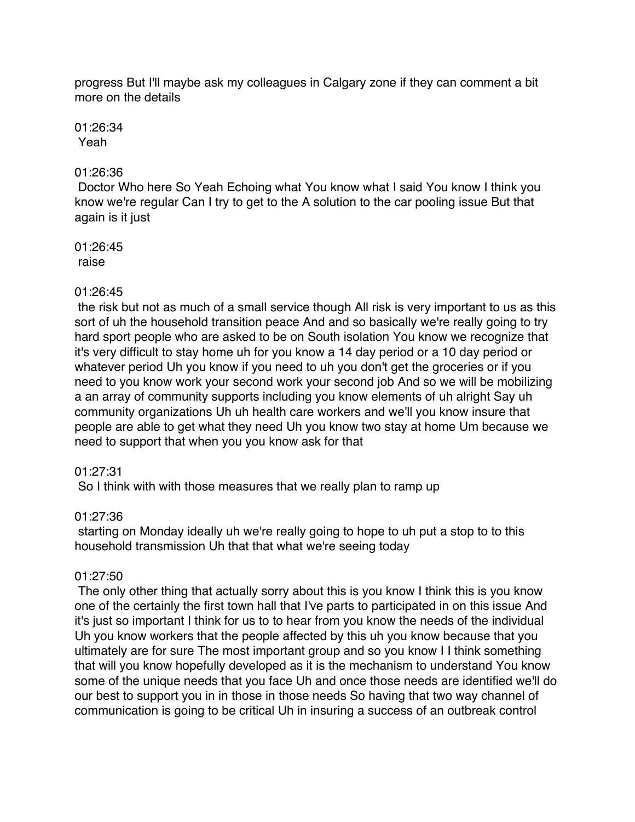progress But I'll maybe ask my colleagues in Calgary zone if they can comment a bit more on the details

#### 01:26:34 Yeah

# 01:26:36

Doctor Who here So Yeah Echoing what You know what I said You know I think you know we're regular Can I try to get to the A solution to the car pooling issue But that again is it just

01:26:45 raise

# 01:26:45

the risk but not as much of a small service though All risk is very important to us as this sort of uh the household transition peace And and so basically we're really going to try hard sport people who are asked to be on South isolation You know we recognize that it's very difficult to stay home uh for you know a 14 day period or a 10 day period or whatever period Uh you know if you need to uh you don't get the groceries or if you need to you know work your second work your second job And so we will be mobilizing a an array of community supports including you know elements of uh alright Say uh community organizations Uh uh health care workers and we'll you know insure that people are able to get what they need Uh you know two stay at home Um because we need to support that when you you know ask for that

#### 01:27:31

So I think with with those measures that we really plan to ramp up

# 01:27:36

starting on Monday ideally uh we're really going to hope to uh put a stop to to this household transmission Uh that that what we're seeing today

#### 01:27:50

The only other thing that actually sorry about this is you know I think this is you know one of the certainly the first town hall that I've parts to participated in on this issue And it's just so important I think for us to to hear from you know the needs of the individual Uh you know workers that the people affected by this uh you know because that you ultimately are for sure The most important group and so you know I I think something that will you know hopefully developed as it is the mechanism to understand You know some of the unique needs that you face Uh and once those needs are identified we'll do our best to support you in in those in those needs So having that two way channel of communication is going to be critical Uh in insuring a success of an outbreak control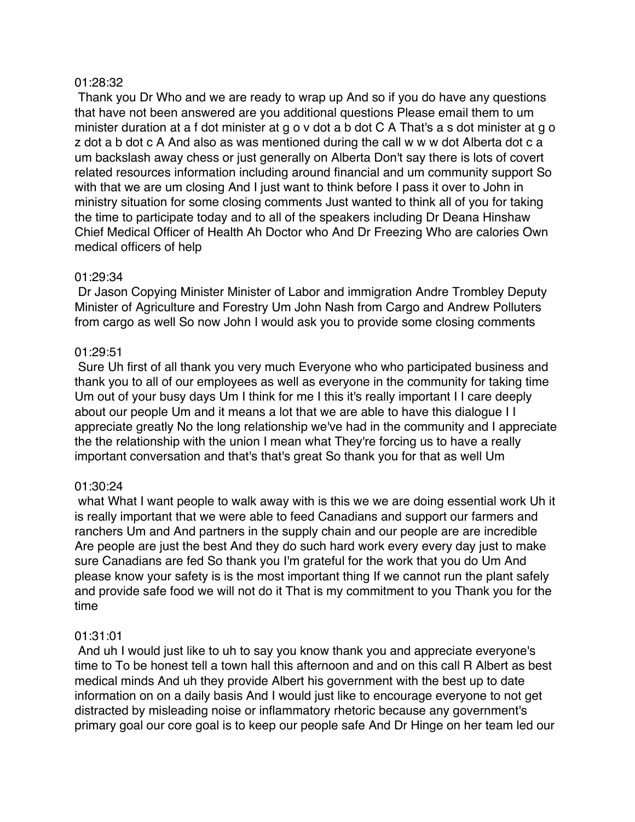#### 01:28:32

Thank you Dr Who and we are ready to wrap up And so if you do have any questions that have not been answered are you additional questions Please email them to um minister duration at a f dot minister at g o v dot a b dot C A That's a s dot minister at g o z dot a b dot c A And also as was mentioned during the call w w w dot Alberta dot c a um backslash away chess or just generally on Alberta Don't say there is lots of covert related resources information including around financial and um community support So with that we are um closing And I just want to think before I pass it over to John in ministry situation for some closing comments Just wanted to think all of you for taking the time to participate today and to all of the speakers including Dr Deana Hinshaw Chief Medical Officer of Health Ah Doctor who And Dr Freezing Who are calories Own medical officers of help

#### 01:29:34

Dr Jason Copying Minister Minister of Labor and immigration Andre Trombley Deputy Minister of Agriculture and Forestry Um John Nash from Cargo and Andrew Polluters from cargo as well So now John I would ask you to provide some closing comments

# 01:29:51

Sure Uh first of all thank you very much Everyone who who participated business and thank you to all of our employees as well as everyone in the community for taking time Um out of your busy days Um I think for me I this it's really important I I care deeply about our people Um and it means a lot that we are able to have this dialogue I I appreciate greatly No the long relationship we've had in the community and I appreciate the the relationship with the union I mean what They're forcing us to have a really important conversation and that's that's great So thank you for that as well Um

#### 01:30:24

what What I want people to walk away with is this we we are doing essential work Uh it is really important that we were able to feed Canadians and support our farmers and ranchers Um and And partners in the supply chain and our people are are incredible Are people are just the best And they do such hard work every every day just to make sure Canadians are fed So thank you I'm grateful for the work that you do Um And please know your safety is is the most important thing If we cannot run the plant safely and provide safe food we will not do it That is my commitment to you Thank you for the time

#### 01:31:01

And uh I would just like to uh to say you know thank you and appreciate everyone's time to To be honest tell a town hall this afternoon and and on this call R Albert as best medical minds And uh they provide Albert his government with the best up to date information on on a daily basis And I would just like to encourage everyone to not get distracted by misleading noise or inflammatory rhetoric because any government's primary goal our core goal is to keep our people safe And Dr Hinge on her team led our